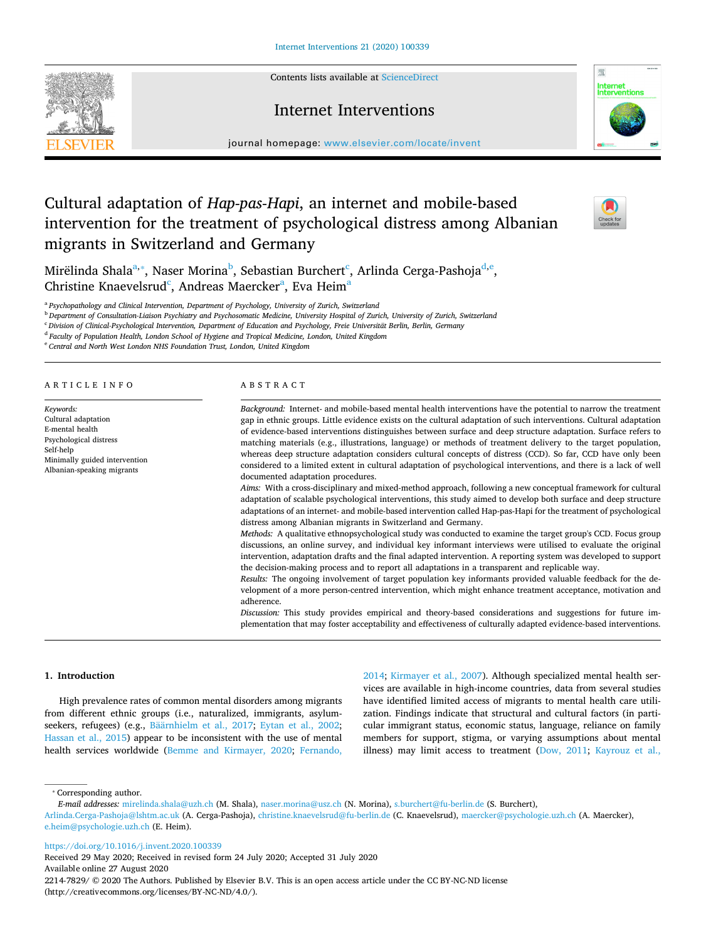Contents lists available at [ScienceDirect](http://www.sciencedirect.com/science/journal/22147829) 





journal homepage: [www.elsevier.com/locate/invent](https://www.elsevier.com/locate/invent) 

# Cultural adaptation of *Hap-pas-Hapi*, an internet and mobile-based intervention for the treatment of psychological distress among Albanian migrants in Switzerland and Germany



Mirëlinda Shala<sup>a,</sup>\*, Naser Morina<sup>b</sup>, Sebastian Bur[c](#page-0-3)h[e](#page-0-5)rt<sup>c</sup>, Arlinda Cerga-Pashoja<sup>d,e</sup>, Christine Knaevelsrud<sup>[c](#page-0-3)</sup>, Andreas Maercker<sup>a</sup>, Ev[a](#page-0-0) Heim<sup>a</sup>

<span id="page-0-0"></span><sup>a</sup>*Psychopathology and Clinical Intervention, Department of Psychology, University of Zurich, Switzerland* 

<span id="page-0-2"></span><sup>b</sup>*Department of Consultation-Liaison Psychiatry and Psychosomatic Medicine, University Hospital of Zurich, University of Zurich, Switzerland* 

<span id="page-0-3"></span><sup>c</sup>*Division of Clinical-Psychological Intervention, Department of Education and Psychology, Freie Universität Berlin, Berlin, Germany* 

<span id="page-0-4"></span><sup>d</sup>*Faculty of Population Health, London School of Hygiene and Tropical Medicine, London, United Kingdom* 

<span id="page-0-5"></span><sup>e</sup>*Central and North West London NHS Foundation Trust, London, United Kingdom* 

# A R T I C L E I N F O

*Keywords:*  Cultural adaptation E-mental health Psychological distress Self-help Minimally guided intervention Albanian-speaking migrants

#### ABSTRACT

*Background:* Internet- and mobile-based mental health interventions have the potential to narrow the treatment gap in ethnic groups. Little evidence exists on the cultural adaptation of such interventions. Cultural adaptation of evidence-based interventions distinguishes between surface and deep structure adaptation. Surface refers to matching materials (e.g., illustrations, language) or methods of treatment delivery to the target population, whereas deep structure adaptation considers cultural concepts of distress (CCD). So far, CCD have only been considered to a limited extent in cultural adaptation of psychological interventions, and there is a lack of well documented adaptation procedures.

*Aims:* With a cross-disciplinary and mixed-method approach, following a new conceptual framework for cultural adaptation of scalable psychological interventions, this study aimed to develop both surface and deep structure adaptations of an internet- and mobile-based intervention called Hap-pas-Hapi for the treatment of psychological distress among Albanian migrants in Switzerland and Germany.

*Methods:* A qualitative ethnopsychological study was conducted to examine the target group's CCD. Focus group discussions, an online survey, and individual key informant interviews were utilised to evaluate the original intervention, adaptation drafts and the final adapted intervention. A reporting system was developed to support the decision-making process and to report all adaptations in a transparent and replicable way.

*Results:* The ongoing involvement of target population key informants provided valuable feedback for the development of a more person-centred intervention, which might enhance treatment acceptance, motivation and adherence.

*Discussion:* This study provides empirical and theory-based considerations and suggestions for future implementation that may foster acceptability and effectiveness of culturally adapted evidence-based interventions.

#### **1. Introduction**

High prevalence rates of common mental disorders among migrants from different ethnic groups (i.e., naturalized, immigrants, asylumseekers, refugees) (e.g., [Bäärnhielm et al., 2017;](#page-10-0) [Eytan et al., 2002](#page-11-0); [Hassan et al., 2015](#page-11-1)) appear to be inconsistent with the use of mental health services worldwide [\(Bemme and Kirmayer, 2020;](#page-10-1) [Fernando,](#page-11-2) 

[2014;](#page-11-2) [Kirmayer et al., 2007\)](#page-11-3). Although specialized mental health services are available in high-income countries, data from several studies have identified limited access of migrants to mental health care utilization. Findings indicate that structural and cultural factors (in particular immigrant status, economic status, language, reliance on family members for support, stigma, or varying assumptions about mental illness) may limit access to treatment [\(Dow, 2011;](#page-11-4) [Kayrouz et al.,](#page-11-5) 

<span id="page-0-1"></span>⁎ Corresponding author.

<https://doi.org/10.1016/j.invent.2020.100339>

Received 29 May 2020; Received in revised form 24 July 2020; Accepted 31 July 2020 Available online 27 August 2020 2214-7829/ © 2020 The Authors. Published by Elsevier B.V. This is an open access article under the CC BY-NC-ND license (http://creativecommons.org/licenses/BY-NC-ND/4.0/).

*E-mail addresses:* [mirelinda.shala@uzh.ch](mailto:mirelinda.shala@uzh.ch) (M. Shala), [naser.morina@usz.ch](mailto:naser.morina@usz.ch) (N. Morina), [s.burchert@fu-berlin.de](mailto:s.burchert@fu-berlin.de) (S. Burchert), [Arlinda.Cerga-Pashoja@lshtm.ac.uk](mailto:Arlinda.Cerga-Pashoja@lshtm.ac.uk) (A. Cerga-Pashoja), [christine.knaevelsrud@fu-berlin.de](mailto:christine.knaevelsrud@fu-berlin.de) (C. Knaevelsrud), [maercker@psychologie.uzh.ch](mailto:maercker@psychologie.uzh.ch) (A. Maercker), [e.heim@psychologie.uzh.ch](mailto:e.heim@psychologie.uzh.ch) (E. Heim).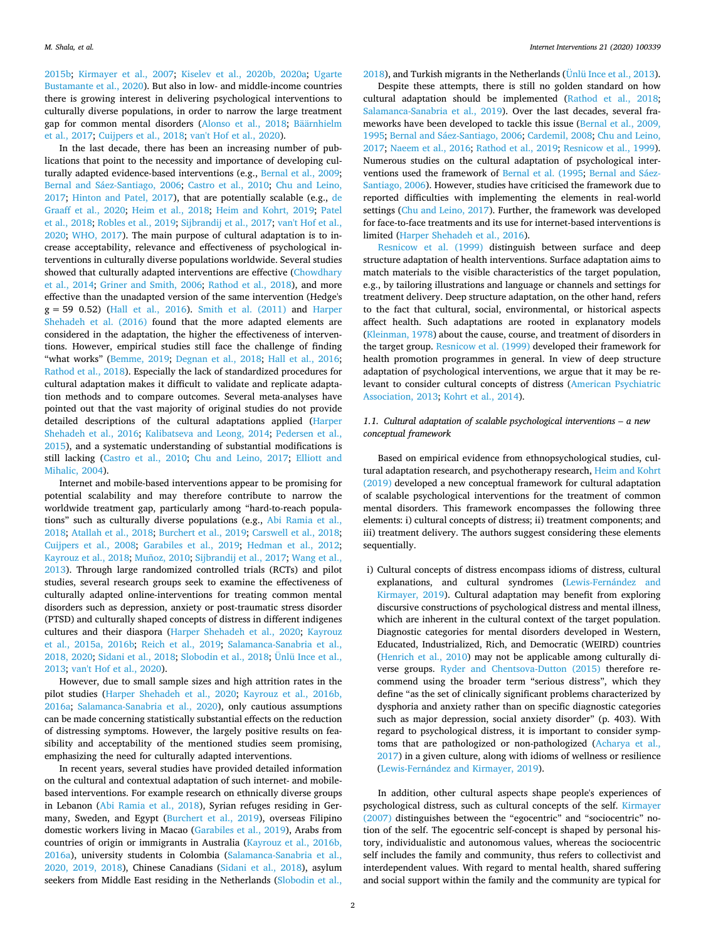[2015b;](#page-11-5) [Kirmayer et al., 2007;](#page-11-3) [Kiselev et al., 2020b, 2020a;](#page-11-6) [Ugarte](#page-12-0)  [Bustamante et al., 2020](#page-12-0)). But also in low- and middle-income countries there is growing interest in delivering psychological interventions to culturally diverse populations, in order to narrow the large treatment gap for common mental disorders [\(Alonso et al., 2018;](#page-10-2) [Bäärnhielm](#page-10-0)  [et al., 2017](#page-10-0); [Cuijpers et al., 2018;](#page-11-7) [van't Hof et al., 2020](#page-12-1)).

In the last decade, there has been an increasing number of publications that point to the necessity and importance of developing cul-turally adapted evidence-based interventions (e.g., [Bernal et al., 2009](#page-10-3); [Bernal and Sáez-Santiago, 2006;](#page-10-4) [Castro et al., 2010](#page-10-5); [Chu and Leino,](#page-11-8)  [2017;](#page-11-8) [Hinton and Patel, 2017](#page-11-9)), that are potentially scalable (e.g., [de](#page-11-10)  [Graaff et al., 2020;](#page-11-10) [Heim et al., 2018;](#page-11-11) [Heim and Kohrt, 2019](#page-11-12); [Patel](#page-11-13)  [et al., 2018;](#page-11-13) [Robles et al., 2019](#page-12-2); [Sijbrandij et al., 2017;](#page-12-3) [van't Hof et al.,](#page-12-1)  [2020;](#page-12-1) [WHO, 2017](#page-12-4)). The main purpose of cultural adaptation is to increase acceptability, relevance and effectiveness of psychological interventions in culturally diverse populations worldwide. Several studies showed that culturally adapted interventions are effective (Chowdhary [et al., 2014](#page-10-6); [Griner and Smith, 2006](#page-11-14); [Rathod et al., 2018](#page-12-5)), and more effective than the unadapted version of the same intervention (Hedge's g = 59 0.52) [\(Hall et al., 2016](#page-11-15)). [Smith et al. \(2011\)](#page-12-6) and [Harper](#page-11-16)  [Shehadeh et al. \(2016\)](#page-11-16) found that the more adapted elements are considered in the adaptation, the higher the effectiveness of interventions. However, empirical studies still face the challenge of finding "what works" [\(Bemme, 2019;](#page-10-7) [Degnan et al., 2018;](#page-11-17) [Hall et al., 2016](#page-11-15); [Rathod et al., 2018](#page-12-5)). Especially the lack of standardized procedures for cultural adaptation makes it difficult to validate and replicate adaptation methods and to compare outcomes. Several meta-analyses have pointed out that the vast majority of original studies do not provide detailed descriptions of the cultural adaptations applied [\(Harper](#page-11-16)  [Shehadeh et al., 2016](#page-11-16); [Kalibatseva and Leong, 2014](#page-11-18); [Pedersen et al.,](#page-12-7)  [2015\)](#page-12-7), and a systematic understanding of substantial modifications is still lacking [\(Castro et al., 2010;](#page-10-5) [Chu and Leino, 2017](#page-11-8); [Elliott and](#page-11-19)  [Mihalic, 2004\)](#page-11-19).

Internet and mobile-based interventions appear to be promising for potential scalability and may therefore contribute to narrow the worldwide treatment gap, particularly among "hard-to-reach populations" such as culturally diverse populations (e.g., [Abi Ramia et al.,](#page-10-8)  [2018;](#page-10-8) [Atallah et al., 2018](#page-10-9); [Burchert et al., 2019;](#page-10-10) [Carswell et al., 2018](#page-10-11); [Cuijpers et al., 2008;](#page-11-20) [Garabiles et al., 2019](#page-11-21); [Hedman et al., 2012](#page-11-22); [Kayrouz et al., 2018](#page-11-23); [Muñoz, 2010](#page-11-24); [Sijbrandij et al., 2017;](#page-12-3) [Wang et al.,](#page-12-8)  [2013\)](#page-12-8). Through large randomized controlled trials (RCTs) and pilot studies, several research groups seek to examine the effectiveness of culturally adapted online-interventions for treating common mental disorders such as depression, anxiety or post-traumatic stress disorder (PTSD) and culturally shaped concepts of distress in different indigenes cultures and their diaspora ([Harper Shehadeh et al., 2020;](#page-11-25) [Kayrouz](#page-11-26)  [et al., 2015a, 2016b](#page-11-26); [Reich et al., 2019](#page-12-9); [Salamanca-Sanabria et al.,](#page-12-10)  [2018, 2020](#page-12-10); [Sidani et al., 2018](#page-12-11); [Slobodin et al., 2018;](#page-12-12) [Ünlü Ince et al.,](#page-12-13)  [2013;](#page-12-13) [van't Hof et al., 2020](#page-12-1)).

However, due to small sample sizes and high attrition rates in the pilot studies [\(Harper Shehadeh et al., 2020](#page-11-25); [Kayrouz et al., 2016b,](#page-11-27)  [2016a;](#page-11-27) [Salamanca-Sanabria et al., 2020\)](#page-12-14), only cautious assumptions can be made concerning statistically substantial effects on the reduction of distressing symptoms. However, the largely positive results on feasibility and acceptability of the mentioned studies seem promising, emphasizing the need for culturally adapted interventions.

In recent years, several studies have provided detailed information on the cultural and contextual adaptation of such internet- and mobilebased interventions. For example research on ethnically diverse groups in Lebanon [\(Abi Ramia et al., 2018](#page-10-8)), Syrian refuges residing in Germany, Sweden, and Egypt ([Burchert et al., 2019](#page-10-10)), overseas Filipino domestic workers living in Macao [\(Garabiles et al., 2019\)](#page-11-21), Arabs from countries of origin or immigrants in Australia [\(Kayrouz et al., 2016b,](#page-11-27)  [2016a\)](#page-11-27), university students in Colombia [\(Salamanca-Sanabria et al.,](#page-12-14)  [2020, 2019, 2018](#page-12-14)), Chinese Canadians [\(Sidani et al., 2018\)](#page-12-11), asylum seekers from Middle East residing in the Netherlands [\(Slobodin et al.,](#page-12-12) 

[2018\)](#page-12-12), and Turkish migrants in the Netherlands ( $\ddot{U}$ nlü Ince et al., 2013).

Despite these attempts, there is still no golden standard on how cultural adaptation should be implemented ([Rathod et al., 2018](#page-12-5); [Salamanca-Sanabria et al., 2019\)](#page-12-15). Over the last decades, several frameworks have been developed to tackle this issue ([Bernal et al., 2009,](#page-10-3)  [1995;](#page-10-3) [Bernal and Sáez-Santiago, 2006;](#page-10-4) [Cardemil, 2008;](#page-10-12) [Chu and Leino,](#page-11-8)  [2017;](#page-11-8) [Naeem et al., 2016](#page-11-28); [Rathod et al., 2019;](#page-12-16) [Resnicow et al., 1999](#page-12-17)). Numerous studies on the cultural adaptation of psychological interventions used the framework of [Bernal et al. \(1995](#page-10-13); [Bernal and Sáez-](#page-10-4)[Santiago, 2006](#page-10-4)). However, studies have criticised the framework due to reported difficulties with implementing the elements in real-world settings ([Chu and Leino, 2017\)](#page-11-8). Further, the framework was developed for face-to-face treatments and its use for internet-based interventions is limited [\(Harper Shehadeh et al., 2016](#page-11-16)).

[Resnicow et al. \(1999\)](#page-12-17) distinguish between surface and deep structure adaptation of health interventions. Surface adaptation aims to match materials to the visible characteristics of the target population, e.g., by tailoring illustrations and language or channels and settings for treatment delivery. Deep structure adaptation, on the other hand, refers to the fact that cultural, social, environmental, or historical aspects affect health. Such adaptations are rooted in explanatory models ([Kleinman, 1978](#page-11-29)) about the cause, course, and treatment of disorders in the target group. [Resnicow et al. \(1999\)](#page-12-17) developed their framework for health promotion programmes in general. In view of deep structure adaptation of psychological interventions, we argue that it may be relevant to consider cultural concepts of distress ([American Psychiatric](#page-10-14)  [Association, 2013;](#page-10-14) [Kohrt et al., 2014\)](#page-11-30).

# *1.1. Cultural adaptation of scalable psychological interventions – a new conceptual framework*

Based on empirical evidence from ethnopsychological studies, cultural adaptation research, and psychotherapy research, [Heim and Kohrt](#page-11-12)  [\(2019\)](#page-11-12) developed a new conceptual framework for cultural adaptation of scalable psychological interventions for the treatment of common mental disorders. This framework encompasses the following three elements: i) cultural concepts of distress; ii) treatment components; and iii) treatment delivery. The authors suggest considering these elements sequentially.

i) Cultural concepts of distress encompass idioms of distress, cultural explanations, and cultural syndromes ([Lewis-Fernández and](#page-11-31)  [Kirmayer, 2019\)](#page-11-31). Cultural adaptation may benefit from exploring discursive constructions of psychological distress and mental illness, which are inherent in the cultural context of the target population. Diagnostic categories for mental disorders developed in Western, Educated, Industrialized, Rich, and Democratic (WEIRD) countries [\(Henrich et al., 2010](#page-11-32)) may not be applicable among culturally diverse groups. [Ryder and Chentsova-Dutton \(2015\)](#page-12-18) therefore recommend using the broader term "serious distress", which they define "as the set of clinically significant problems characterized by dysphoria and anxiety rather than on specific diagnostic categories such as major depression, social anxiety disorder" (p. 403). With regard to psychological distress, it is important to consider symptoms that are pathologized or non-pathologized ([Acharya et al.,](#page-10-15)  [2017](#page-10-15)) in a given culture, along with idioms of wellness or resilience [\(Lewis-Fernández and Kirmayer, 2019](#page-11-31)).

In addition, other cultural aspects shape people's experiences of psychological distress, such as cultural concepts of the self. [Kirmayer](#page-11-33)  [\(2007\)](#page-11-33) distinguishes between the "egocentric" and "sociocentric" notion of the self. The egocentric self-concept is shaped by personal history, individualistic and autonomous values, whereas the sociocentric self includes the family and community, thus refers to collectivist and interdependent values. With regard to mental health, shared suffering and social support within the family and the community are typical for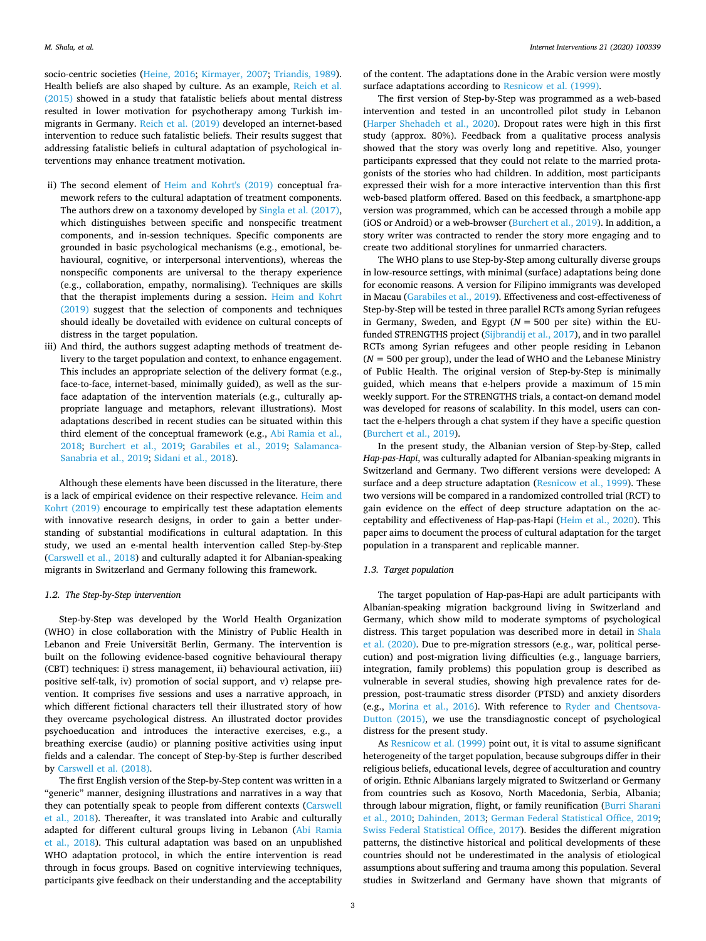socio-centric societies [\(Heine, 2016;](#page-11-34) [Kirmayer, 2007](#page-11-33); [Triandis, 1989](#page-12-19)). Health beliefs are also shaped by culture. As an example, [Reich et al.](#page-12-20)  [\(2015\)](#page-12-20) showed in a study that fatalistic beliefs about mental distress resulted in lower motivation for psychotherapy among Turkish immigrants in Germany. [Reich et al. \(2019\)](#page-12-9) developed an internet-based intervention to reduce such fatalistic beliefs. Their results suggest that addressing fatalistic beliefs in cultural adaptation of psychological interventions may enhance treatment motivation.

- ii) The second element of [Heim and Kohrt's \(2019\)](#page-11-12) conceptual framework refers to the cultural adaptation of treatment components. The authors drew on a taxonomy developed by [Singla et al. \(2017\)](#page-12-21), which distinguishes between specific and nonspecific treatment components, and in-session techniques. Specific components are grounded in basic psychological mechanisms (e.g., emotional, behavioural, cognitive, or interpersonal interventions), whereas the nonspecific components are universal to the therapy experience (e.g., collaboration, empathy, normalising). Techniques are skills that the therapist implements during a session. [Heim and Kohrt](#page-11-12)  [\(2019\)](#page-11-12) suggest that the selection of components and techniques should ideally be dovetailed with evidence on cultural concepts of distress in the target population.
- iii) And third, the authors suggest adapting methods of treatment delivery to the target population and context, to enhance engagement. This includes an appropriate selection of the delivery format (e.g., face-to-face, internet-based, minimally guided), as well as the surface adaptation of the intervention materials (e.g., culturally appropriate language and metaphors, relevant illustrations). Most adaptations described in recent studies can be situated within this third element of the conceptual framework (e.g., [Abi Ramia et al.,](#page-10-8)  [2018](#page-10-8); [Burchert et al., 2019](#page-10-10); [Garabiles et al., 2019;](#page-11-21) [Salamanca-](#page-12-15)[Sanabria et al., 2019](#page-12-15); [Sidani et al., 2018\)](#page-12-11).

Although these elements have been discussed in the literature, there is a lack of empirical evidence on their respective relevance. [Heim and](#page-11-12)  [Kohrt \(2019\)](#page-11-12) encourage to empirically test these adaptation elements with innovative research designs, in order to gain a better understanding of substantial modifications in cultural adaptation. In this study, we used an e-mental health intervention called Step-by-Step ([Carswell et al., 2018](#page-10-11)) and culturally adapted it for Albanian-speaking migrants in Switzerland and Germany following this framework.

#### *1.2. The Step-by-Step intervention*

Step-by-Step was developed by the World Health Organization (WHO) in close collaboration with the Ministry of Public Health in Lebanon and Freie Universität Berlin, Germany. The intervention is built on the following evidence-based cognitive behavioural therapy (CBT) techniques: i) stress management, ii) behavioural activation, iii) positive self-talk, iv) promotion of social support, and v) relapse prevention. It comprises five sessions and uses a narrative approach, in which different fictional characters tell their illustrated story of how they overcame psychological distress. An illustrated doctor provides psychoeducation and introduces the interactive exercises, e.g., a breathing exercise (audio) or planning positive activities using input fields and a calendar. The concept of Step-by-Step is further described by [Carswell et al. \(2018\)](#page-10-11).

The first English version of the Step-by-Step content was written in a "generic" manner, designing illustrations and narratives in a way that they can potentially speak to people from different contexts [\(Carswell](#page-10-11)  [et al., 2018\)](#page-10-11). Thereafter, it was translated into Arabic and culturally adapted for different cultural groups living in Lebanon ([Abi Ramia](#page-10-8)  [et al., 2018](#page-10-8)). This cultural adaptation was based on an unpublished WHO adaptation protocol, in which the entire intervention is read through in focus groups. Based on cognitive interviewing techniques, participants give feedback on their understanding and the acceptability

of the content. The adaptations done in the Arabic version were mostly surface adaptations according to [Resnicow et al. \(1999\).](#page-12-17)

The first version of Step-by-Step was programmed as a web-based intervention and tested in an uncontrolled pilot study in Lebanon ([Harper Shehadeh et al., 2020\)](#page-11-25). Dropout rates were high in this first study (approx. 80%). Feedback from a qualitative process analysis showed that the story was overly long and repetitive. Also, younger participants expressed that they could not relate to the married protagonists of the stories who had children. In addition, most participants expressed their wish for a more interactive intervention than this first web-based platform offered. Based on this feedback, a smartphone-app version was programmed, which can be accessed through a mobile app (iOS or Android) or a web-browser [\(Burchert et al., 2019\)](#page-10-10). In addition, a story writer was contracted to render the story more engaging and to create two additional storylines for unmarried characters.

The WHO plans to use Step-by-Step among culturally diverse groups in low-resource settings, with minimal (surface) adaptations being done for economic reasons. A version for Filipino immigrants was developed in Macau ([Garabiles et al., 2019](#page-11-21)). Effectiveness and cost-effectiveness of Step-by-Step will be tested in three parallel RCTs among Syrian refugees in Germany, Sweden, and Egypt (*N =* 500 per site) within the EUfunded STRENGTHS project [\(Sijbrandij et al., 2017\)](#page-12-3), and in two parallel RCTs among Syrian refugees and other people residing in Lebanon (*N =* 500 per group), under the lead of WHO and the Lebanese Ministry of Public Health. The original version of Step-by-Step is minimally guided, which means that e-helpers provide a maximum of 15 min weekly support. For the STRENGTHS trials, a contact-on demand model was developed for reasons of scalability. In this model, users can contact the e-helpers through a chat system if they have a specific question ([Burchert et al., 2019\)](#page-10-10).

In the present study, the Albanian version of Step-by-Step, called *Hap-pas-Hapi*, was culturally adapted for Albanian-speaking migrants in Switzerland and Germany. Two different versions were developed: A surface and a deep structure adaptation [\(Resnicow et al., 1999\)](#page-12-17). These two versions will be compared in a randomized controlled trial (RCT) to gain evidence on the effect of deep structure adaptation on the acceptability and effectiveness of Hap-pas-Hapi ([Heim et al., 2020\)](#page-11-35). This paper aims to document the process of cultural adaptation for the target population in a transparent and replicable manner.

# *1.3. Target population*

The target population of Hap-pas-Hapi are adult participants with Albanian-speaking migration background living in Switzerland and Germany, which show mild to moderate symptoms of psychological distress. This target population was described more in detail in [Shala](#page-12-22)  [et al. \(2020\)](#page-12-22). Due to pre-migration stressors (e.g., war, political persecution) and post-migration living difficulties (e.g., language barriers, integration, family problems) this population group is described as vulnerable in several studies, showing high prevalence rates for depression, post-traumatic stress disorder (PTSD) and anxiety disorders (e.g., [Morina et al., 2016](#page-11-36)). With reference to [Ryder and Chentsova-](#page-12-18)[Dutton \(2015\),](#page-12-18) we use the transdiagnostic concept of psychological distress for the present study.

As [Resnicow et al. \(1999\)](#page-12-17) point out, it is vital to assume significant heterogeneity of the target population, because subgroups differ in their religious beliefs, educational levels, degree of acculturation and country of origin. Ethnic Albanians largely migrated to Switzerland or Germany from countries such as Kosovo, North Macedonia, Serbia, Albania; through labour migration, flight, or family reunification [\(Burri Sharani](#page-10-16)  [et al., 2010;](#page-10-16) [Dahinden, 2013;](#page-11-37) [German Federal Statistical Office, 2019](#page-11-38); [Swiss Federal Statistical Office, 2017](#page-12-23)). Besides the different migration patterns, the distinctive historical and political developments of these countries should not be underestimated in the analysis of etiological assumptions about suffering and trauma among this population. Several studies in Switzerland and Germany have shown that migrants of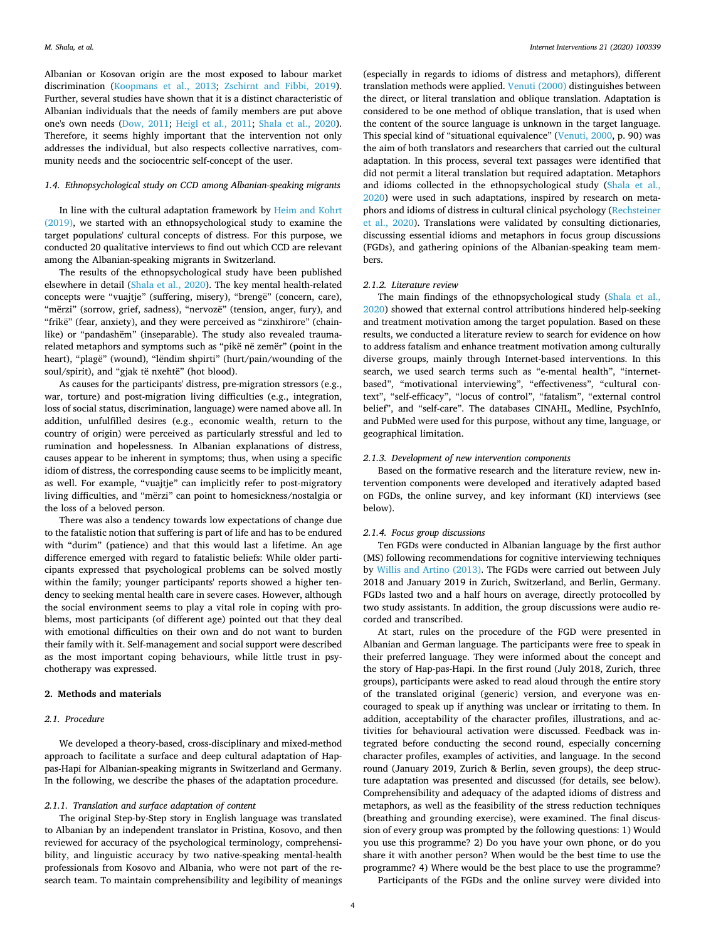Albanian or Kosovan origin are the most exposed to labour market discrimination [\(Koopmans et al., 2013](#page-11-39); [Zschirnt and Fibbi, 2019](#page-12-24)). Further, several studies have shown that it is a distinct characteristic of Albanian individuals that the needs of family members are put above one's own needs [\(Dow, 2011;](#page-11-4) [Heigl et al., 2011;](#page-11-40) [Shala et al., 2020](#page-12-22)). Therefore, it seems highly important that the intervention not only addresses the individual, but also respects collective narratives, community needs and the sociocentric self-concept of the user.

# *1.4. Ethnopsychological study on CCD among Albanian-speaking migrants*

In line with the cultural adaptation framework by [Heim and Kohrt](#page-11-12)  [\(2019\),](#page-11-12) we started with an ethnopsychological study to examine the target populations' cultural concepts of distress. For this purpose, we conducted 20 qualitative interviews to find out which CCD are relevant among the Albanian-speaking migrants in Switzerland.

The results of the ethnopsychological study have been published elsewhere in detail ([Shala et al., 2020](#page-12-22)). The key mental health-related concepts were "vuajtje" (suffering, misery), "brengë" (concern, care), "mërzi" (sorrow, grief, sadness), "nervozë" (tension, anger, fury), and "frikë" (fear, anxiety), and they were perceived as "zinxhirore" (chainlike) or "pandashëm" (inseparable). The study also revealed traumarelated metaphors and symptoms such as "pikë në zemër" (point in the heart), "plagë" (wound), "lëndim shpirti" (hurt/pain/wounding of the soul/spirit), and "gjak të nxehtë" (hot blood).

As causes for the participants' distress, pre-migration stressors (e.g., war, torture) and post-migration living difficulties (e.g., integration, loss of social status, discrimination, language) were named above all. In addition, unfulfilled desires (e.g., economic wealth, return to the country of origin) were perceived as particularly stressful and led to rumination and hopelessness. In Albanian explanations of distress, causes appear to be inherent in symptoms; thus, when using a specific idiom of distress, the corresponding cause seems to be implicitly meant, as well. For example, "vuajtje" can implicitly refer to post-migratory living difficulties, and "mërzi" can point to homesickness/nostalgia or the loss of a beloved person.

There was also a tendency towards low expectations of change due to the fatalistic notion that suffering is part of life and has to be endured with "durim" (patience) and that this would last a lifetime. An age difference emerged with regard to fatalistic beliefs: While older participants expressed that psychological problems can be solved mostly within the family; younger participants' reports showed a higher tendency to seeking mental health care in severe cases. However, although the social environment seems to play a vital role in coping with problems, most participants (of different age) pointed out that they deal with emotional difficulties on their own and do not want to burden their family with it. Self-management and social support were described as the most important coping behaviours, while little trust in psychotherapy was expressed.

# <span id="page-3-0"></span>**2. Methods and materials**

# *2.1. Procedure*

We developed a theory-based, cross-disciplinary and mixed-method approach to facilitate a surface and deep cultural adaptation of Happas-Hapi for Albanian-speaking migrants in Switzerland and Germany. In the following, we describe the phases of the adaptation procedure.

# *2.1.1. Translation and surface adaptation of content*

The original Step-by-Step story in English language was translated to Albanian by an independent translator in Pristina, Kosovo, and then reviewed for accuracy of the psychological terminology, comprehensibility, and linguistic accuracy by two native-speaking mental-health professionals from Kosovo and Albania, who were not part of the research team. To maintain comprehensibility and legibility of meanings

(especially in regards to idioms of distress and metaphors), different translation methods were applied. [Venuti \(2000\)](#page-12-25) distinguishes between the direct, or literal translation and oblique translation. Adaptation is considered to be one method of oblique translation, that is used when the content of the source language is unknown in the target language. This special kind of "situational equivalence" ([Venuti, 2000,](#page-12-25) p. 90) was the aim of both translators and researchers that carried out the cultural adaptation. In this process, several text passages were identified that did not permit a literal translation but required adaptation. Metaphors and idioms collected in the ethnopsychological study ([Shala et al.,](#page-12-22)  [2020\)](#page-12-22) were used in such adaptations, inspired by research on metaphors and idioms of distress in cultural clinical psychology ([Rechsteiner](#page-12-26)  [et al., 2020](#page-12-26)). Translations were validated by consulting dictionaries, discussing essential idioms and metaphors in focus group discussions (FGDs), and gathering opinions of the Albanian-speaking team members.

#### *2.1.2. Literature review*

The main findings of the ethnopsychological study [\(Shala et al.,](#page-12-22)  [2020\)](#page-12-22) showed that external control attributions hindered help-seeking and treatment motivation among the target population. Based on these results, we conducted a literature review to search for evidence on how to address fatalism and enhance treatment motivation among culturally diverse groups, mainly through Internet-based interventions. In this search, we used search terms such as "e-mental health", "internetbased", "motivational interviewing", "effectiveness", "cultural context", "self-efficacy", "locus of control", "fatalism", "external control belief", and "self-care". The databases CINAHL, Medline, PsychInfo, and PubMed were used for this purpose, without any time, language, or geographical limitation.

# *2.1.3. Development of new intervention components*

Based on the formative research and the literature review, new intervention components were developed and iteratively adapted based on FGDs, the online survey, and key informant (KI) interviews (see below).

# *2.1.4. Focus group discussions*

Ten FGDs were conducted in Albanian language by the first author (MS) following recommendations for cognitive interviewing techniques by [Willis and Artino \(2013\).](#page-12-27) The FGDs were carried out between July 2018 and January 2019 in Zurich, Switzerland, and Berlin, Germany. FGDs lasted two and a half hours on average, directly protocolled by two study assistants. In addition, the group discussions were audio recorded and transcribed.

At start, rules on the procedure of the FGD were presented in Albanian and German language. The participants were free to speak in their preferred language. They were informed about the concept and the story of Hap-pas-Hapi. In the first round (July 2018, Zurich, three groups), participants were asked to read aloud through the entire story of the translated original (generic) version, and everyone was encouraged to speak up if anything was unclear or irritating to them. In addition, acceptability of the character profiles, illustrations, and activities for behavioural activation were discussed. Feedback was integrated before conducting the second round, especially concerning character profiles, examples of activities, and language. In the second round (January 2019, Zurich & Berlin, seven groups), the deep structure adaptation was presented and discussed (for details, see below). Comprehensibility and adequacy of the adapted idioms of distress and metaphors, as well as the feasibility of the stress reduction techniques (breathing and grounding exercise), were examined. The final discussion of every group was prompted by the following questions: 1) Would you use this programme? 2) Do you have your own phone, or do you share it with another person? When would be the best time to use the programme? 4) Where would be the best place to use the programme?

Participants of the FGDs and the online survey were divided into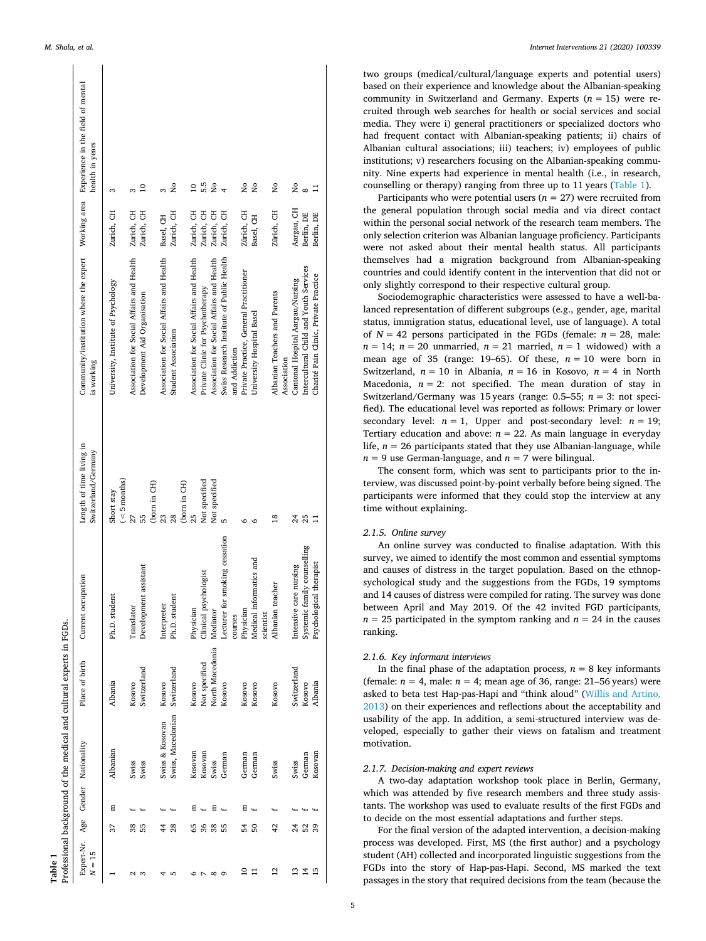<span id="page-4-0"></span>

|                                                  |         |   | Professional background of the medical and cultural experts in FGDs. |                 |                                |                                                 |                                                                                                     |            |                         |
|--------------------------------------------------|---------|---|----------------------------------------------------------------------|-----------------|--------------------------------|-------------------------------------------------|-----------------------------------------------------------------------------------------------------|------------|-------------------------|
| Expert-Nr. Age Gender Nationality<br>$= 15$<br>z |         |   |                                                                      | Place of birth  | Current occupation             | Length of time living in<br>Switzerland/Germany | Community/institution where the expert Working area Experience in the field of mental<br>is working |            | health in years         |
|                                                  | 37      | Ε | Albanian                                                             | <b>Albania</b>  | Ph.D. student                  | $($ < 5 months)<br>Short stay                   | University, Institute of Psychology                                                                 | Zurich, CH | S                       |
| Z                                                | 38      |   | Swiss                                                                | Kosovo          | Translator                     |                                                 | Association for Social Affairs and Health                                                           | Zurich, CH |                         |
| ന                                                | 55      |   | Swiss                                                                | Switzerland     | Development assistant          | 55                                              | Development Aid Organisation                                                                        | Zurich, CH | $\overline{10}$         |
|                                                  |         |   |                                                                      |                 |                                | (born in CH)                                    |                                                                                                     |            |                         |
|                                                  | 44      |   | Swiss & Kosovan                                                      | Kosovo          | Interpreter                    | 23                                              | Association for Social Affairs and Health                                                           | Basel, CH  |                         |
| ۵                                                | 28      |   | Swiss, Macedonian                                                    | Switzerland     | Ph.D. student                  | 28                                              | Student Association                                                                                 | Zurich, CH | Σò                      |
|                                                  |         |   |                                                                      |                 |                                | (born in CH)                                    |                                                                                                     |            |                         |
|                                                  | 59      | Ε | Kosovan                                                              | Kosovo          | Physician                      | 25                                              | Association for Social Affairs and Health                                                           | Zurich, CH | $\subseteq$             |
|                                                  | 36      |   | Kosovan                                                              | Not specified   | Clinical psychologist          | Not specified                                   | Private Clinic for Psychotherapy                                                                    | Zurich, CH | 5.5                     |
| $^{\circ}$                                       | 38      | 日 | Swiss                                                                | North Macedonia | Mediator                       | Not specified                                   | Association for Social Affairs and Health                                                           | Zurich, CH | å                       |
| Ō                                                | 55      |   | German                                                               | Kosovo          | Lecturer for smoking cessation |                                                 | Swiss Research Institute of Public Health                                                           | Zurich, CH |                         |
|                                                  |         |   |                                                                      |                 | courses                        |                                                 | and Addiction                                                                                       |            |                         |
| ≘                                                | 54      | Ξ | German                                                               | Kosovo          | Physician                      |                                                 | Private Practice, General Practitioner                                                              | Zürich, CH | δ                       |
| 급                                                | 50      |   | German                                                               | Kosovo          | Medical informatics and        |                                                 | University Hospital Basel                                                                           | Basel, CH  | $\overline{\mathsf{a}}$ |
|                                                  |         |   |                                                                      |                 | scientist                      |                                                 |                                                                                                     |            |                         |
| $\overline{c}$                                   | 42      |   | Swiss                                                                | Kosovo          | Albanian teacher               | $\frac{8}{18}$                                  | Albanian Teachers and Parents<br>Association                                                        | Zürich, CH | $\frac{1}{2}$           |
| $\overline{13}$                                  | $^{24}$ |   | Swiss                                                                | Switzerland     | Intensive care nursing         | 24                                              | Cantonal Hospital Aargau/Nursing                                                                    | Aargau, CH | Σó                      |
| $\overline{1}$                                   | 52      |   | German                                                               | Kosovo          | Systemic family counselling    | 25                                              | Intercultural Child and Youth Services                                                              | Berlin, DE |                         |
| 15                                               | 39      |   | Kosovan                                                              | Albania         | Psychological therapist        |                                                 | Charité Pain Clinic, Private Practice                                                               | Berlin, DE |                         |
|                                                  |         |   |                                                                      |                 |                                |                                                 |                                                                                                     |            |                         |

two groups (medical/cultural/language experts and potential users) based on their experience and knowledge about the Albanian-speaking community in Switzerland and Germany. Experts  $(n = 15)$  were recruited through web searches for health or social services and social media. They were i) general practitioners or specialized doctors who had frequent contact with Albanian-speaking patients; ii) chairs of Albanian cultural associations; iii) teachers; iv) employees of public institutions; v) researchers focusing on the Albanian-speaking community. Nine experts had experience in mental health (i.e., in research, counselling or therapy) ranging from three up to 11 years [\(Table 1\)](#page-4-0).

Participants who were potential users  $(n = 27)$  were recruited from the general population through social media and via direct contact within the personal social network of the research team members. The only selection criterion was Albanian language proficiency. Participants were not asked about their mental health status. All participants themselves had a migration background from Albanian-speaking countries and could identify content in the intervention that did not or only slightly correspond to their respective cultural group.

Sociodemographic characteristics were assessed to have a well-balanced representation of different subgroups (e.g., gender, age, marital status, immigration status, educational level, use of language). A total of  $N = 42$  persons participated in the FGDs (female:  $n = 28$ , male:  $n = 14$ ;  $n = 20$  unmarried,  $n = 21$  married,  $n = 1$  widowed) with a mean age of 35 (range: 19–65). Of these,  $n = 10$  were born in Switzerland,  $n = 10$  in Albania,  $n = 16$  in Kosovo,  $n = 4$  in North Macedonia,  $n = 2$ : not specified. The mean duration of stay in Switzerland/Germany was 15 years (range: 0.5–55; *n* = 3: not specified). The educational level was reported as follows: Primary or lower secondary level:  $n = 1$ , Upper and post-secondary level:  $n = 19$ ; Tertiary education and above:  $n = 22$ . As main language in everyday life,  $n = 26$  participants stated that they use Albanian-language, while  $n = 9$  use German-language, and  $n = 7$  were bilingual.

The consent form, which was sent to participants prior to the interview, was discussed point-by-point verbally before being signed. The participants were informed that they could stop the interview at any time without explaining.

# *2.1.5. Online survey*

An online survey was conducted to finalise adaptation. With this survey, we aimed to identify the most common and essential symptoms and causes of distress in the target population. Based on the ethnopsychological study and the suggestions from the FGDs, 19 symptoms and 14 causes of distress were compiled for rating. The survey was done between April and May 2019. Of the 42 invited FGD participants,  $n = 25$  participated in the symptom ranking and  $n = 24$  in the causes ranking.

#### *2.1.6. Key informant interviews*

In the final phase of the adaptation process,  $n = 8$  key informants (female:  $n = 4$ , male:  $n = 4$ ; mean age of 36, range: 21–56 years) were asked to beta test Hap-pas-Hapi and "think aloud" ([Willis and Artino,](#page-12-27)  [2013\)](#page-12-27) on their experiences and reflections about the acceptability and usability of the app. In addition, a semi-structured interview was developed, especially to gather their views on fatalism and treatment motivation.

# *2.1.7. Decision-making and expert reviews*

A two-day adaptation workshop took place in Berlin, Germany, which was attended by five research members and three study assistants. The workshop was used to evaluate results of the first FGDs and to decide on the most essential adaptations and further steps.

For the final version of the adapted intervention, a decision-making process was developed. First, MS (the first author) and a psychology student (AH) collected and incorporated linguistic suggestions from the FGDs into the story of Hap-pas-Hapi. Second, MS marked the text passages in the story that required decisions from the team (because the

**Table 1**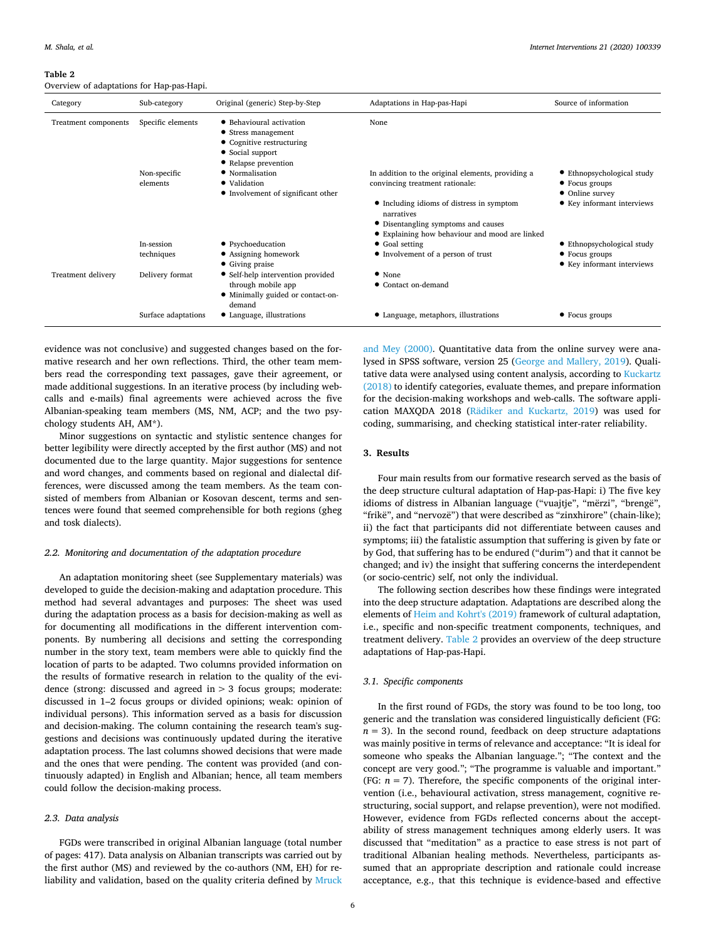#### <span id="page-5-0"></span>**Table 2**

Overview of adaptations for Hap-pas-Hapi.

| Category             | Sub-category        | Original (generic) Step-by-Step                                                                                          | Adaptations in Hap-pas-Hapi                                                           | Source of information             |
|----------------------|---------------------|--------------------------------------------------------------------------------------------------------------------------|---------------------------------------------------------------------------------------|-----------------------------------|
| Treatment components | Specific elements   | • Behavioural activation<br>• Stress management<br>• Cognitive restructuring<br>• Social support<br>• Relapse prevention | None                                                                                  |                                   |
|                      | Non-specific        | • Normalisation                                                                                                          | In addition to the original elements, providing a                                     | • Ethnopsychological study        |
|                      | elements            | • Validation<br>• Involvement of significant other                                                                       | convincing treatment rationale:                                                       | • Focus groups<br>• Online survey |
|                      |                     |                                                                                                                          | • Including idioms of distress in symptom<br>narratives                               | • Key informant interviews        |
|                      |                     |                                                                                                                          | • Disentangling symptoms and causes<br>• Explaining how behaviour and mood are linked |                                   |
|                      | In-session          | • Psychoeducation                                                                                                        | • Goal setting                                                                        | • Ethnopsychological study        |
|                      | techniques          | • Assigning homework                                                                                                     | • Involvement of a person of trust                                                    | • Focus groups                    |
|                      |                     | • Giving praise                                                                                                          |                                                                                       | • Key informant interviews        |
| Treatment delivery   | Delivery format     | • Self-help intervention provided                                                                                        | $\bullet$ None                                                                        |                                   |
|                      |                     | through mobile app                                                                                                       | • Contact on-demand                                                                   |                                   |
|                      |                     | • Minimally guided or contact-on-<br>demand                                                                              |                                                                                       |                                   |
|                      | Surface adaptations | • Language, illustrations                                                                                                | • Language, metaphors, illustrations                                                  | • Focus groups                    |

evidence was not conclusive) and suggested changes based on the formative research and her own reflections. Third, the other team members read the corresponding text passages, gave their agreement, or made additional suggestions. In an iterative process (by including webcalls and e-mails) final agreements were achieved across the five Albanian-speaking team members (MS, NM, ACP; and the two psychology students AH, AM\*).

Minor suggestions on syntactic and stylistic sentence changes for better legibility were directly accepted by the first author (MS) and not documented due to the large quantity. Major suggestions for sentence and word changes, and comments based on regional and dialectal differences, were discussed among the team members. As the team consisted of members from Albanian or Kosovan descent, terms and sentences were found that seemed comprehensible for both regions (gheg and tosk dialects).

#### *2.2. Monitoring and documentation of the adaptation procedure*

An adaptation monitoring sheet (see Supplementary materials) was developed to guide the decision-making and adaptation procedure. This method had several advantages and purposes: The sheet was used during the adaptation process as a basis for decision-making as well as for documenting all modifications in the different intervention components. By numbering all decisions and setting the corresponding number in the story text, team members were able to quickly find the location of parts to be adapted. Two columns provided information on the results of formative research in relation to the quality of the evidence (strong: discussed and agreed in  $> 3$  focus groups; moderate: discussed in 1–2 focus groups or divided opinions; weak: opinion of individual persons). This information served as a basis for discussion and decision-making. The column containing the research team's suggestions and decisions was continuously updated during the iterative adaptation process. The last columns showed decisions that were made and the ones that were pending. The content was provided (and continuously adapted) in English and Albanian; hence, all team members could follow the decision-making process.

#### *2.3. Data analysis*

FGDs were transcribed in original Albanian language (total number of pages: 417). Data analysis on Albanian transcripts was carried out by the first author (MS) and reviewed by the co-authors (NM, EH) for reliability and validation, based on the quality criteria defined by [Mruck](#page-11-41) 

[and Mey \(2000\)](#page-11-41). Quantitative data from the online survey were analysed in SPSS software, version 25 ([George and Mallery, 2019\)](#page-11-42). Qualitative data were analysed using content analysis, according to [Kuckartz](#page-11-43)  [\(2018\)](#page-11-43) to identify categories, evaluate themes, and prepare information for the decision-making workshops and web-calls. The software application MAXQDA 2018 ([Rädiker and Kuckartz, 2019\)](#page-12-28) was used for coding, summarising, and checking statistical inter-rater reliability.

# **3. Results**

Four main results from our formative research served as the basis of the deep structure cultural adaptation of Hap-pas-Hapi: i) The five key idioms of distress in Albanian language ("vuajtje", "mërzi", "brengë", "frikë", and "nervozë") that were described as "zinxhirore" (chain-like); ii) the fact that participants did not differentiate between causes and symptoms; iii) the fatalistic assumption that suffering is given by fate or by God, that suffering has to be endured ("durim") and that it cannot be changed; and iv) the insight that suffering concerns the interdependent (or socio-centric) self, not only the individual.

The following section describes how these findings were integrated into the deep structure adaptation. Adaptations are described along the elements of [Heim and Kohrt's \(2019\)](#page-11-12) framework of cultural adaptation, i.e., specific and non-specific treatment components, techniques, and treatment delivery. [Table 2](#page-5-0) provides an overview of the deep structure adaptations of Hap-pas-Hapi.

#### *3.1. Specific components*

In the first round of FGDs, the story was found to be too long, too generic and the translation was considered linguistically deficient (FG:  $n = 3$ ). In the second round, feedback on deep structure adaptations was mainly positive in terms of relevance and acceptance: "It is ideal for someone who speaks the Albanian language."; "The context and the concept are very good."; "The programme is valuable and important." (FG:  $n = 7$ ). Therefore, the specific components of the original intervention (i.e., behavioural activation, stress management, cognitive restructuring, social support, and relapse prevention), were not modified. However, evidence from FGDs reflected concerns about the acceptability of stress management techniques among elderly users. It was discussed that "meditation" as a practice to ease stress is not part of traditional Albanian healing methods. Nevertheless, participants assumed that an appropriate description and rationale could increase acceptance, e.g., that this technique is evidence-based and effective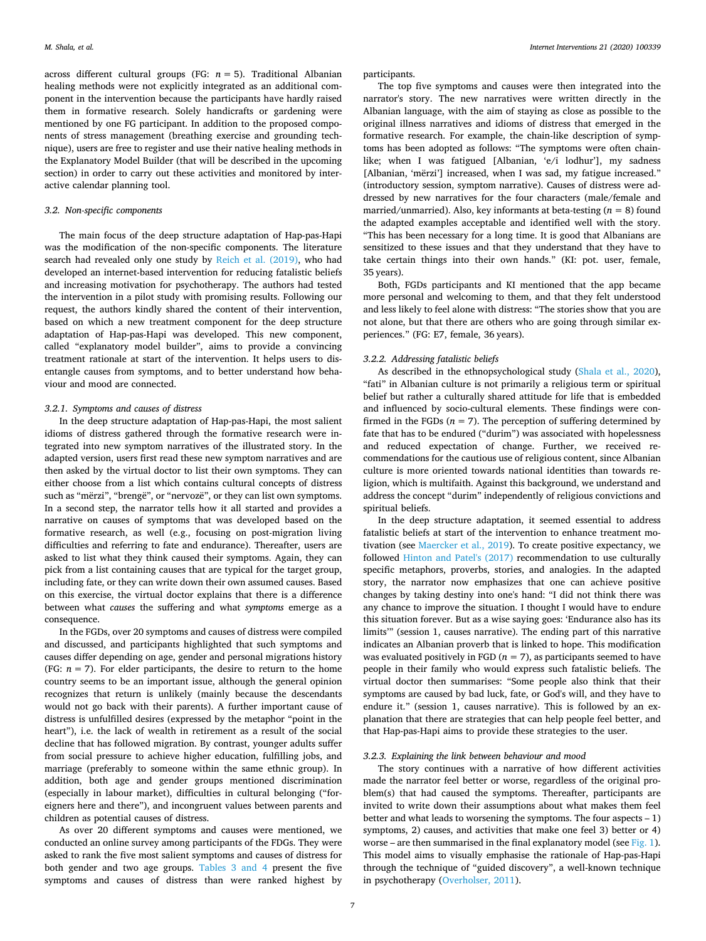across different cultural groups (FG:  $n = 5$ ). Traditional Albanian healing methods were not explicitly integrated as an additional component in the intervention because the participants have hardly raised them in formative research. Solely handicrafts or gardening were mentioned by one FG participant. In addition to the proposed components of stress management (breathing exercise and grounding technique), users are free to register and use their native healing methods in the Explanatory Model Builder (that will be described in the upcoming section) in order to carry out these activities and monitored by interactive calendar planning tool.

# *3.2. Non-specific components*

The main focus of the deep structure adaptation of Hap-pas-Hapi was the modification of the non-specific components. The literature search had revealed only one study by [Reich et al. \(2019\)](#page-12-9), who had developed an internet-based intervention for reducing fatalistic beliefs and increasing motivation for psychotherapy. The authors had tested the intervention in a pilot study with promising results. Following our request, the authors kindly shared the content of their intervention, based on which a new treatment component for the deep structure adaptation of Hap-pas-Hapi was developed. This new component, called "explanatory model builder", aims to provide a convincing treatment rationale at start of the intervention. It helps users to disentangle causes from symptoms, and to better understand how behaviour and mood are connected.

#### *3.2.1. Symptoms and causes of distress*

In the deep structure adaptation of Hap-pas-Hapi, the most salient idioms of distress gathered through the formative research were integrated into new symptom narratives of the illustrated story. In the adapted version, users first read these new symptom narratives and are then asked by the virtual doctor to list their own symptoms. They can either choose from a list which contains cultural concepts of distress such as "mërzi", "brengë", or "nervozë", or they can list own symptoms. In a second step, the narrator tells how it all started and provides a narrative on causes of symptoms that was developed based on the formative research, as well (e.g., focusing on post-migration living difficulties and referring to fate and endurance). Thereafter, users are asked to list what they think caused their symptoms. Again, they can pick from a list containing causes that are typical for the target group, including fate, or they can write down their own assumed causes. Based on this exercise, the virtual doctor explains that there is a difference between what *causes* the suffering and what *symptoms* emerge as a consequence.

In the FGDs, over 20 symptoms and causes of distress were compiled and discussed, and participants highlighted that such symptoms and causes differ depending on age, gender and personal migrations history (FG:  $n = 7$ ). For elder participants, the desire to return to the home country seems to be an important issue, although the general opinion recognizes that return is unlikely (mainly because the descendants would not go back with their parents). A further important cause of distress is unfulfilled desires (expressed by the metaphor "point in the heart"), i.e. the lack of wealth in retirement as a result of the social decline that has followed migration. By contrast, younger adults suffer from social pressure to achieve higher education, fulfilling jobs, and marriage (preferably to someone within the same ethnic group). In addition, both age and gender groups mentioned discrimination (especially in labour market), difficulties in cultural belonging ("foreigners here and there"), and incongruent values between parents and children as potential causes of distress.

As over 20 different symptoms and causes were mentioned, we conducted an online survey among participants of the FDGs. They were asked to rank the five most salient symptoms and causes of distress for both gender and two age groups. [Tables 3 and 4](#page-7-0) present the five symptoms and causes of distress than were ranked highest by participants.

The top five symptoms and causes were then integrated into the narrator's story. The new narratives were written directly in the Albanian language, with the aim of staying as close as possible to the original illness narratives and idioms of distress that emerged in the formative research. For example, the chain-like description of symptoms has been adopted as follows: "The symptoms were often chainlike; when I was fatigued [Albanian, 'e/i lodhur'], my sadness [Albanian, 'mërzi'] increased, when I was sad, my fatigue increased." (introductory session, symptom narrative). Causes of distress were addressed by new narratives for the four characters (male/female and married/unmarried). Also, key informants at beta-testing  $(n = 8)$  found the adapted examples acceptable and identified well with the story. "This has been necessary for a long time. It is good that Albanians are sensitized to these issues and that they understand that they have to take certain things into their own hands." (KI: pot. user, female, 35 years).

Both, FGDs participants and KI mentioned that the app became more personal and welcoming to them, and that they felt understood and less likely to feel alone with distress: "The stories show that you are not alone, but that there are others who are going through similar experiences." (FG: E7, female, 36 years).

# *3.2.2. Addressing fatalistic beliefs*

As described in the ethnopsychological study [\(Shala et al., 2020](#page-12-22)), "fati" in Albanian culture is not primarily a religious term or spiritual belief but rather a culturally shared attitude for life that is embedded and influenced by socio-cultural elements. These findings were confirmed in the FGDs  $(n = 7)$ . The perception of suffering determined by fate that has to be endured ("durim") was associated with hopelessness and reduced expectation of change. Further, we received recommendations for the cautious use of religious content, since Albanian culture is more oriented towards national identities than towards religion, which is multifaith. Against this background, we understand and address the concept "durim" independently of religious convictions and spiritual beliefs.

In the deep structure adaptation, it seemed essential to address fatalistic beliefs at start of the intervention to enhance treatment motivation (see [Maercker et al., 2019\)](#page-11-44). To create positive expectancy, we followed [Hinton and Patel's \(2017\)](#page-11-9) recommendation to use culturally specific metaphors, proverbs, stories, and analogies. In the adapted story, the narrator now emphasizes that one can achieve positive changes by taking destiny into one's hand: "I did not think there was any chance to improve the situation. I thought I would have to endure this situation forever. But as a wise saying goes: 'Endurance also has its limits'" (session 1, causes narrative). The ending part of this narrative indicates an Albanian proverb that is linked to hope. This modification was evaluated positively in FGD ( $n = 7$ ), as participants seemed to have people in their family who would express such fatalistic beliefs. The virtual doctor then summarises: "Some people also think that their symptoms are caused by bad luck, fate, or God's will, and they have to endure it." (session 1, causes narrative). This is followed by an explanation that there are strategies that can help people feel better, and that Hap-pas-Hapi aims to provide these strategies to the user.

#### *3.2.3. Explaining the link between behaviour and mood*

The story continues with a narrative of how different activities made the narrator feel better or worse, regardless of the original problem(s) that had caused the symptoms. Thereafter, participants are invited to write down their assumptions about what makes them feel better and what leads to worsening the symptoms. The four aspects – 1) symptoms, 2) causes, and activities that make one feel 3) better or 4) worse – are then summarised in the final explanatory model (see [Fig. 1](#page-7-1)). This model aims to visually emphasise the rationale of Hap-pas-Hapi through the technique of "guided discovery", a well-known technique in psychotherapy [\(Overholser, 2011\)](#page-11-45).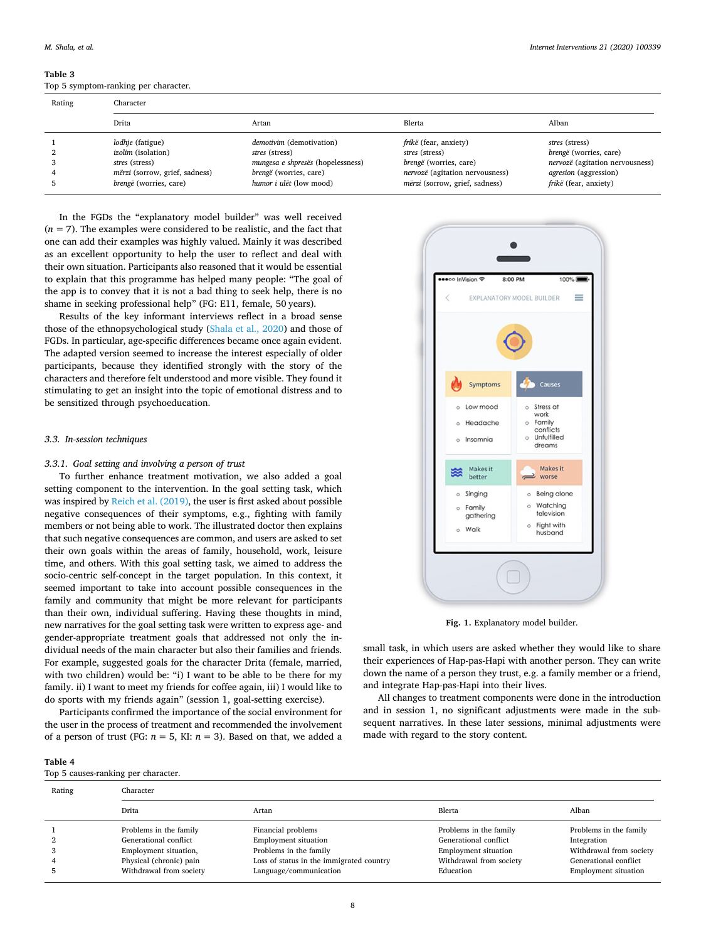<span id="page-7-0"></span>**Table 3**  Top 5 symptom-ranking per character.

|        | 100 0 0, mptom running per enuracter. |                                   |                                 |                                 |  |  |  |
|--------|---------------------------------------|-----------------------------------|---------------------------------|---------------------------------|--|--|--|
| Rating | Character                             |                                   |                                 |                                 |  |  |  |
|        | Drita                                 | Artan                             | Blerta                          | Alban                           |  |  |  |
|        | <i>lodhje</i> (fatigue)               | demotivim (demotivation)          | frikë (fear, anxiety)           | stres (stress)                  |  |  |  |
|        | <i>izolim</i> (isolation)             | stres (stress)                    | stres (stress)                  | <i>brengë</i> (worries, care)   |  |  |  |
|        | stres (stress)                        | mungesa e shpresës (hopelessness) | <i>brengë</i> (worries, care)   | nervozë (agitation nervousness) |  |  |  |
|        | mërzi (sorrow, grief, sadness)        | <i>brengë</i> (worries, care)     | nervozë (agitation nervousness) | agresion (aggression)           |  |  |  |
|        | brengë (worries, care)                | humor i ulët (low mood)           | mërzi (sorrow, grief, sadness)  | frikë (fear, anxiety)           |  |  |  |

In the FGDs the "explanatory model builder" was well received  $(n = 7)$ . The examples were considered to be realistic, and the fact that one can add their examples was highly valued. Mainly it was described as an excellent opportunity to help the user to reflect and deal with their own situation. Participants also reasoned that it would be essential to explain that this programme has helped many people: "The goal of the app is to convey that it is not a bad thing to seek help, there is no shame in seeking professional help" (FG: E11, female, 50 years).

Results of the key informant interviews reflect in a broad sense those of the ethnopsychological study [\(Shala et al., 2020](#page-12-22)) and those of FGDs. In particular, age-specific differences became once again evident. The adapted version seemed to increase the interest especially of older participants, because they identified strongly with the story of the characters and therefore felt understood and more visible. They found it stimulating to get an insight into the topic of emotional distress and to be sensitized through psychoeducation.

# *3.3. In-session techniques*

**Table 4** 

Top 5 causes-ranking per character.

#### *3.3.1. Goal setting and involving a person of trust*

To further enhance treatment motivation, we also added a goal setting component to the intervention. In the goal setting task, which was inspired by [Reich et al. \(2019\),](#page-12-9) the user is first asked about possible negative consequences of their symptoms, e.g., fighting with family members or not being able to work. The illustrated doctor then explains that such negative consequences are common, and users are asked to set their own goals within the areas of family, household, work, leisure time, and others. With this goal setting task, we aimed to address the socio-centric self-concept in the target population. In this context, it seemed important to take into account possible consequences in the family and community that might be more relevant for participants than their own, individual suffering. Having these thoughts in mind, new narratives for the goal setting task were written to express age- and gender-appropriate treatment goals that addressed not only the individual needs of the main character but also their families and friends. For example, suggested goals for the character Drita (female, married, with two children) would be: "i) I want to be able to be there for my family. ii) I want to meet my friends for coffee again, iii) I would like to do sports with my friends again" (session 1, goal-setting exercise).

Participants confirmed the importance of the social environment for the user in the process of treatment and recommended the involvement of a person of trust (FG:  $n = 5$ , KI:  $n = 3$ ). Based on that, we added a

<span id="page-7-1"></span>

| EXPLANATORY MODEL BUILDER<br>Symptoms<br>Causes<br>o Stress at<br>o Low mood |
|------------------------------------------------------------------------------|
|                                                                              |
|                                                                              |
|                                                                              |
|                                                                              |
|                                                                              |
| work                                                                         |
| o Family<br>o Headache<br>conflicts                                          |
| o Unfulfilled<br>o Insomnia<br>dreams                                        |
| <b>Makes it</b><br>Makes it<br>▩<br>$\implies$ worse                         |
| better                                                                       |
| o Singing<br>o Being alone<br>o Watching<br>o Family                         |
| television<br>gathering                                                      |
| o Fight with                                                                 |

Fig. 1. Explanatory model builder.

small task, in which users are asked whether they would like to share their experiences of Hap-pas-Hapi with another person. They can write down the name of a person they trust, e.g. a family member or a friend, and integrate Hap-pas-Hapi into their lives.

All changes to treatment components were done in the introduction and in session 1, no significant adjustments were made in the subsequent narratives. In these later sessions, minimal adjustments were made with regard to the story content.

| Rating | Character               |                                          |                             |                             |  |  |  |
|--------|-------------------------|------------------------------------------|-----------------------------|-----------------------------|--|--|--|
|        | Drita                   | Artan                                    | Blerta                      | Alban                       |  |  |  |
|        | Problems in the family  | Financial problems                       | Problems in the family      | Problems in the family      |  |  |  |
| 2      | Generational conflict   | <b>Employment situation</b>              | Generational conflict       | Integration                 |  |  |  |
| 3      | Employment situation,   | Problems in the family                   | <b>Employment situation</b> | Withdrawal from society     |  |  |  |
| 4      | Physical (chronic) pain | Loss of status in the immigrated country | Withdrawal from society     | Generational conflict       |  |  |  |
|        | Withdrawal from society | Language/communication                   | Education                   | <b>Employment situation</b> |  |  |  |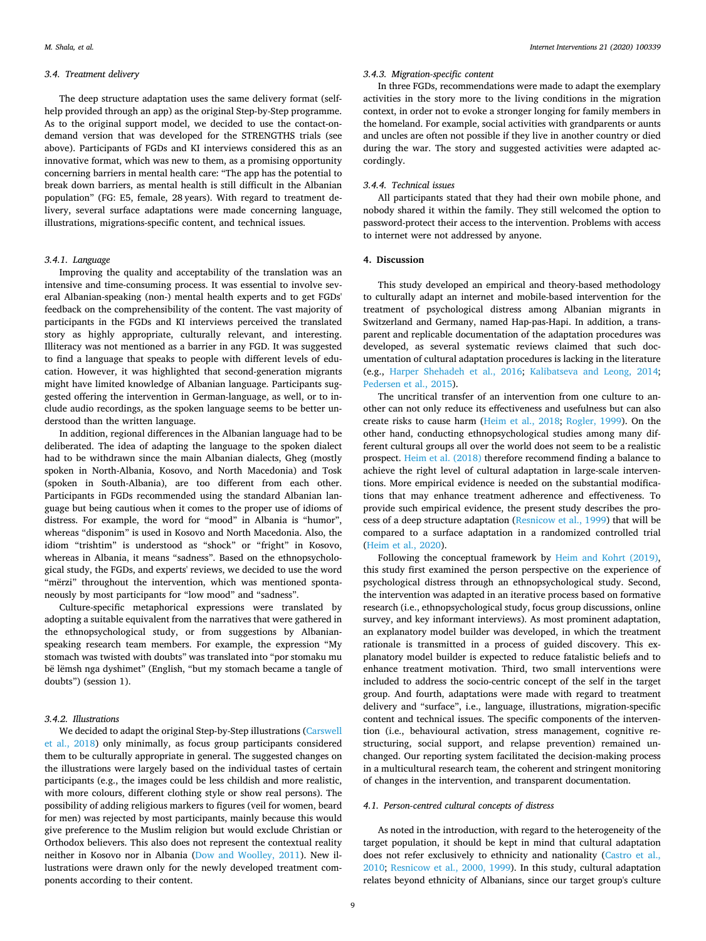#### *3.4. Treatment delivery*

The deep structure adaptation uses the same delivery format (selfhelp provided through an app) as the original Step-by-Step programme. As to the original support model, we decided to use the contact-ondemand version that was developed for the STRENGTHS trials (see above). Participants of FGDs and KI interviews considered this as an innovative format, which was new to them, as a promising opportunity concerning barriers in mental health care: "The app has the potential to break down barriers, as mental health is still difficult in the Albanian population" (FG: E5, female, 28 years). With regard to treatment delivery, several surface adaptations were made concerning language, illustrations, migrations-specific content, and technical issues.

# *3.4.1. Language*

Improving the quality and acceptability of the translation was an intensive and time-consuming process. It was essential to involve several Albanian-speaking (non-) mental health experts and to get FGDs' feedback on the comprehensibility of the content. The vast majority of participants in the FGDs and KI interviews perceived the translated story as highly appropriate, culturally relevant, and interesting. Illiteracy was not mentioned as a barrier in any FGD. It was suggested to find a language that speaks to people with different levels of education. However, it was highlighted that second-generation migrants might have limited knowledge of Albanian language. Participants suggested offering the intervention in German-language, as well, or to include audio recordings, as the spoken language seems to be better understood than the written language.

In addition, regional differences in the Albanian language had to be deliberated. The idea of adapting the language to the spoken dialect had to be withdrawn since the main Albanian dialects, Gheg (mostly spoken in North-Albania, Kosovo, and North Macedonia) and Tosk (spoken in South-Albania), are too different from each other. Participants in FGDs recommended using the standard Albanian language but being cautious when it comes to the proper use of idioms of distress. For example, the word for "mood" in Albania is "humor", whereas "disponim" is used in Kosovo and North Macedonia. Also, the idiom "trishtim" is understood as "shock" or "fright" in Kosovo, whereas in Albania, it means "sadness". Based on the ethnopsychological study, the FGDs, and experts' reviews, we decided to use the word "mërzi" throughout the intervention, which was mentioned spontaneously by most participants for "low mood" and "sadness".

Culture-specific metaphorical expressions were translated by adopting a suitable equivalent from the narratives that were gathered in the ethnopsychological study, or from suggestions by Albanianspeaking research team members. For example, the expression "My stomach was twisted with doubts" was translated into "por stomaku mu bë lëmsh nga dyshimet" (English, "but my stomach became a tangle of doubts") (session 1).

# *3.4.2. Illustrations*

We decided to adapt the original Step-by-Step illustrations [\(Carswell](#page-10-11)  [et al., 2018](#page-10-11)) only minimally, as focus group participants considered them to be culturally appropriate in general. The suggested changes on the illustrations were largely based on the individual tastes of certain participants (e.g., the images could be less childish and more realistic, with more colours, different clothing style or show real persons). The possibility of adding religious markers to figures (veil for women, beard for men) was rejected by most participants, mainly because this would give preference to the Muslim religion but would exclude Christian or Orthodox believers. This also does not represent the contextual reality neither in Kosovo nor in Albania ([Dow and Woolley, 2011](#page-11-46)). New illustrations were drawn only for the newly developed treatment components according to their content.

#### *3.4.3. Migration-specific content*

In three FGDs, recommendations were made to adapt the exemplary activities in the story more to the living conditions in the migration context, in order not to evoke a stronger longing for family members in the homeland. For example, social activities with grandparents or aunts and uncles are often not possible if they live in another country or died during the war. The story and suggested activities were adapted accordingly.

# *3.4.4. Technical issues*

All participants stated that they had their own mobile phone, and nobody shared it within the family. They still welcomed the option to password-protect their access to the intervention. Problems with access to internet were not addressed by anyone.

# **4. Discussion**

This study developed an empirical and theory-based methodology to culturally adapt an internet and mobile-based intervention for the treatment of psychological distress among Albanian migrants in Switzerland and Germany, named Hap-pas-Hapi. In addition, a transparent and replicable documentation of the adaptation procedures was developed, as several systematic reviews claimed that such documentation of cultural adaptation procedures is lacking in the literature (e.g., [Harper Shehadeh et al., 2016;](#page-11-16) [Kalibatseva and Leong, 2014](#page-11-18); [Pedersen et al., 2015\)](#page-12-7).

The uncritical transfer of an intervention from one culture to another can not only reduce its effectiveness and usefulness but can also create risks to cause harm [\(Heim et al., 2018](#page-11-11); [Rogler, 1999](#page-12-29)). On the other hand, conducting ethnopsychological studies among many different cultural groups all over the world does not seem to be a realistic prospect. [Heim et al. \(2018\)](#page-11-11) therefore recommend finding a balance to achieve the right level of cultural adaptation in large-scale interventions. More empirical evidence is needed on the substantial modifications that may enhance treatment adherence and effectiveness. To provide such empirical evidence, the present study describes the process of a deep structure adaptation [\(Resnicow et al., 1999\)](#page-12-17) that will be compared to a surface adaptation in a randomized controlled trial ([Heim et al., 2020](#page-11-35)).

Following the conceptual framework by [Heim and Kohrt \(2019\)](#page-11-12), this study first examined the person perspective on the experience of psychological distress through an ethnopsychological study. Second, the intervention was adapted in an iterative process based on formative research (i.e., ethnopsychological study, focus group discussions, online survey, and key informant interviews). As most prominent adaptation, an explanatory model builder was developed, in which the treatment rationale is transmitted in a process of guided discovery. This explanatory model builder is expected to reduce fatalistic beliefs and to enhance treatment motivation. Third, two small interventions were included to address the socio-centric concept of the self in the target group. And fourth, adaptations were made with regard to treatment delivery and "surface", i.e., language, illustrations, migration-specific content and technical issues. The specific components of the intervention (i.e., behavioural activation, stress management, cognitive restructuring, social support, and relapse prevention) remained unchanged. Our reporting system facilitated the decision-making process in a multicultural research team, the coherent and stringent monitoring of changes in the intervention, and transparent documentation.

# *4.1. Person-centred cultural concepts of distress*

As noted in the introduction, with regard to the heterogeneity of the target population, it should be kept in mind that cultural adaptation does not refer exclusively to ethnicity and nationality ([Castro et al.,](#page-10-5)  [2010;](#page-10-5) [Resnicow et al., 2000, 1999\)](#page-12-30). In this study, cultural adaptation relates beyond ethnicity of Albanians, since our target group's culture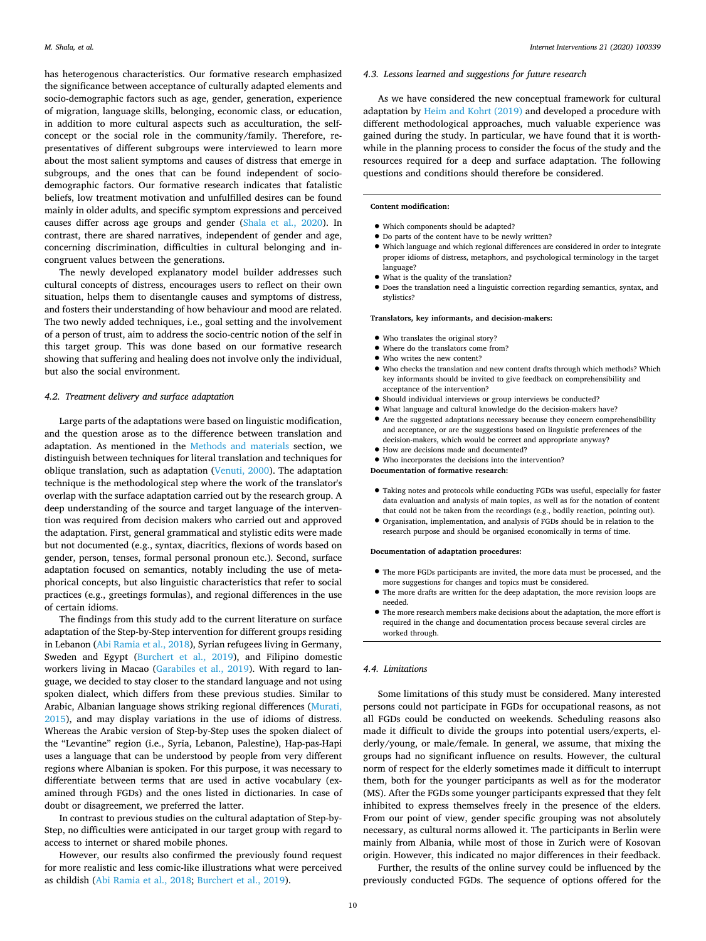has heterogenous characteristics. Our formative research emphasized the significance between acceptance of culturally adapted elements and socio-demographic factors such as age, gender, generation, experience of migration, language skills, belonging, economic class, or education, in addition to more cultural aspects such as acculturation, the selfconcept or the social role in the community/family. Therefore, representatives of different subgroups were interviewed to learn more about the most salient symptoms and causes of distress that emerge in subgroups, and the ones that can be found independent of sociodemographic factors. Our formative research indicates that fatalistic beliefs, low treatment motivation and unfulfilled desires can be found mainly in older adults, and specific symptom expressions and perceived causes differ across age groups and gender [\(Shala et al., 2020](#page-12-22)). In contrast, there are shared narratives, independent of gender and age, concerning discrimination, difficulties in cultural belonging and incongruent values between the generations.

The newly developed explanatory model builder addresses such cultural concepts of distress, encourages users to reflect on their own situation, helps them to disentangle causes and symptoms of distress, and fosters their understanding of how behaviour and mood are related. The two newly added techniques, i.e., goal setting and the involvement of a person of trust, aim to address the socio-centric notion of the self in this target group. This was done based on our formative research showing that suffering and healing does not involve only the individual, but also the social environment.

#### *4.2. Treatment delivery and surface adaptation*

Large parts of the adaptations were based on linguistic modification, and the question arose as to the difference between translation and adaptation. As mentioned in the [Methods and materials](#page-3-0) section, we distinguish between techniques for literal translation and techniques for oblique translation, such as adaptation [\(Venuti, 2000](#page-12-25)). The adaptation technique is the methodological step where the work of the translator's overlap with the surface adaptation carried out by the research group. A deep understanding of the source and target language of the intervention was required from decision makers who carried out and approved the adaptation. First, general grammatical and stylistic edits were made but not documented (e.g., syntax, diacritics, flexions of words based on gender, person, tenses, formal personal pronoun etc.). Second, surface adaptation focused on semantics, notably including the use of metaphorical concepts, but also linguistic characteristics that refer to social practices (e.g., greetings formulas), and regional differences in the use of certain idioms.

The findings from this study add to the current literature on surface adaptation of the Step-by-Step intervention for different groups residing in Lebanon ([Abi Ramia et al., 2018\)](#page-10-8), Syrian refugees living in Germany, Sweden and Egypt ([Burchert et al., 2019\)](#page-10-10), and Filipino domestic workers living in Macao ([Garabiles et al., 2019](#page-11-21)). With regard to language, we decided to stay closer to the standard language and not using spoken dialect, which differs from these previous studies. Similar to Arabic, Albanian language shows striking regional differences ([Murati,](#page-11-47)  [2015\)](#page-11-47), and may display variations in the use of idioms of distress. Whereas the Arabic version of Step-by-Step uses the spoken dialect of the "Levantine" region (i.e., Syria, Lebanon, Palestine), Hap-pas-Hapi uses a language that can be understood by people from very different regions where Albanian is spoken. For this purpose, it was necessary to differentiate between terms that are used in active vocabulary (examined through FGDs) and the ones listed in dictionaries. In case of doubt or disagreement, we preferred the latter.

In contrast to previous studies on the cultural adaptation of Step-by-Step, no difficulties were anticipated in our target group with regard to access to internet or shared mobile phones.

However, our results also confirmed the previously found request for more realistic and less comic-like illustrations what were perceived as childish ([Abi Ramia et al., 2018;](#page-10-8) [Burchert et al., 2019](#page-10-10)).

#### *4.3. Lessons learned and suggestions for future research*

As we have considered the new conceptual framework for cultural adaptation by [Heim and Kohrt \(2019\)](#page-11-12) and developed a procedure with different methodological approaches, much valuable experience was gained during the study. In particular, we have found that it is worthwhile in the planning process to consider the focus of the study and the resources required for a deep and surface adaptation. The following questions and conditions should therefore be considered.

**Content modification:** 

- Which components should be adapted?
- Do parts of the content have to be newly written?
- Which language and which regional differences are considered in order to integrate proper idioms of distress, metaphors, and psychological terminology in the target language?
- What is the quality of the translation?
- Does the translation need a linguistic correction regarding semantics, syntax, and stylistics?

#### **Translators, key informants, and decision-makers:**

- Who translates the original story?
- Where do the translators come from?
- Who writes the new content?
- Who checks the translation and new content drafts through which methods? Which key informants should be invited to give feedback on comprehensibility and acceptance of the intervention?
- Should individual interviews or group interviews be conducted?
- What language and cultural knowledge do the decision-makers have?
- Are the suggested adaptations necessary because they concern comprehensibility and acceptance, or are the suggestions based on linguistic preferences of the decision-makers, which would be correct and appropriate anyway?
- How are decisions made and documented?
- Who incorporates the decisions into the intervention?

**Documentation of formative research:** 

- Taking notes and protocols while conducting FGDs was useful, especially for faster data evaluation and analysis of main topics, as well as for the notation of content that could not be taken from the recordings (e.g., bodily reaction, pointing out).
- Organisation, implementation, and analysis of FGDs should be in relation to the research purpose and should be organised economically in terms of time.

#### **Documentation of adaptation procedures:**

- The more FGDs participants are invited, the more data must be processed, and the more suggestions for changes and topics must be considered.
- The more drafts are written for the deep adaptation, the more revision loops are needed.
- The more research members make decisions about the adaptation, the more effort is required in the change and documentation process because several circles are worked through.

# *4.4. Limitations*

Some limitations of this study must be considered. Many interested persons could not participate in FGDs for occupational reasons, as not all FGDs could be conducted on weekends. Scheduling reasons also made it difficult to divide the groups into potential users/experts, elderly/young, or male/female. In general, we assume, that mixing the groups had no significant influence on results. However, the cultural norm of respect for the elderly sometimes made it difficult to interrupt them, both for the younger participants as well as for the moderator (MS). After the FGDs some younger participants expressed that they felt inhibited to express themselves freely in the presence of the elders. From our point of view, gender specific grouping was not absolutely necessary, as cultural norms allowed it. The participants in Berlin were mainly from Albania, while most of those in Zurich were of Kosovan origin. However, this indicated no major differences in their feedback.

Further, the results of the online survey could be influenced by the previously conducted FGDs. The sequence of options offered for the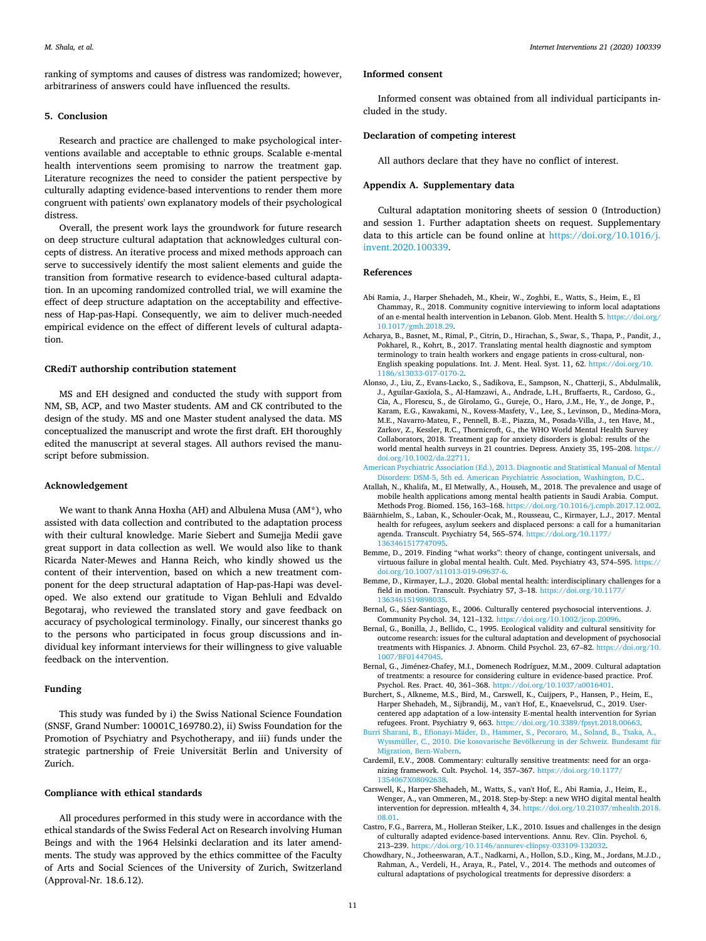ranking of symptoms and causes of distress was randomized; however, arbitrariness of answers could have influenced the results.

# **5. Conclusion**

Research and practice are challenged to make psychological interventions available and acceptable to ethnic groups. Scalable e-mental health interventions seem promising to narrow the treatment gap. Literature recognizes the need to consider the patient perspective by culturally adapting evidence-based interventions to render them more congruent with patients' own explanatory models of their psychological distress.

Overall, the present work lays the groundwork for future research on deep structure cultural adaptation that acknowledges cultural concepts of distress. An iterative process and mixed methods approach can serve to successively identify the most salient elements and guide the transition from formative research to evidence-based cultural adaptation. In an upcoming randomized controlled trial, we will examine the effect of deep structure adaptation on the acceptability and effectiveness of Hap-pas-Hapi. Consequently, we aim to deliver much-needed empirical evidence on the effect of different levels of cultural adaptation.

#### **CRediT authorship contribution statement**

MS and EH designed and conducted the study with support from NM, SB, ACP, and two Master students. AM and CK contributed to the design of the study. MS and one Master student analysed the data. MS conceptualized the manuscript and wrote the first draft. EH thoroughly edited the manuscript at several stages. All authors revised the manuscript before submission.

# **Acknowledgement**

We want to thank Anna Hoxha (AH) and Albulena Musa (AM\*), who assisted with data collection and contributed to the adaptation process with their cultural knowledge. Marie Siebert and Sumejja Medii gave great support in data collection as well. We would also like to thank Ricarda Nater-Mewes and Hanna Reich, who kindly showed us the content of their intervention, based on which a new treatment component for the deep structural adaptation of Hap-pas-Hapi was developed. We also extend our gratitude to Vigan Behluli and Edvaldo Begotaraj, who reviewed the translated story and gave feedback on accuracy of psychological terminology. Finally, our sincerest thanks go to the persons who participated in focus group discussions and individual key informant interviews for their willingness to give valuable feedback on the intervention.

#### **Funding**

This study was funded by i) the Swiss National Science Foundation (SNSF, Grand Number: 10001C\_169780.2), ii) Swiss Foundation for the Promotion of Psychiatry and Psychotherapy, and iii) funds under the strategic partnership of Freie Universität Berlin and University of Zurich.

# **Compliance with ethical standards**

All procedures performed in this study were in accordance with the ethical standards of the Swiss Federal Act on Research involving Human Beings and with the 1964 Helsinki declaration and its later amendments. The study was approved by the ethics committee of the Faculty of Arts and Social Sciences of the University of Zurich, Switzerland (Approval-Nr. 18.6.12).

#### **Informed consent**

Informed consent was obtained from all individual participants included in the study.

#### **Declaration of competing interest**

All authors declare that they have no conflict of interest.

# **Appendix A. Supplementary data**

Cultural adaptation monitoring sheets of session 0 (Introduction) and session 1. Further adaptation sheets on request. Supplementary data to this article can be found online at [https://doi.org/10.1016/j.](https://doi.org/10.1016/j.invent.2020.100339)  [invent.2020.100339](https://doi.org/10.1016/j.invent.2020.100339).

# **References**

- <span id="page-10-8"></span>Abi Ramia, J., Harper Shehadeh, M., Kheir, W., Zoghbi, E., Watts, S., Heim, E., El Chammay, R., 2018. Community cognitive interviewing to inform local adaptations of an e-mental health intervention in Lebanon. Glob. Ment. Health 5. [https://doi.org/](https://doi.org/10.1017/gmh.2018.29)  [10.1017/gmh.2018.29.](https://doi.org/10.1017/gmh.2018.29)
- <span id="page-10-15"></span>Acharya, B., Basnet, M., Rimal, P., Citrin, D., Hirachan, S., Swar, S., Thapa, P., Pandit, J., Pokharel, R., Kohrt, B., 2017. Translating mental health diagnostic and symptom terminology to train health workers and engage patients in cross-cultural, non-English speaking populations. Int. J. Ment. Heal. Syst. 11, 62. [https://doi.org/10.](https://doi.org/10.1186/s13033-017-0170-2) [1186/s13033-017-0170-2](https://doi.org/10.1186/s13033-017-0170-2).
- <span id="page-10-2"></span>Alonso, J., Liu, Z., Evans-Lacko, S., Sadikova, E., Sampson, N., Chatterji, S., Abdulmalik, J., Aguilar-Gaxiola, S., Al-Hamzawi, A., Andrade, L.H., Bruffaerts, R., Cardoso, G., Cia, A., Florescu, S., de Girolamo, G., Gureje, O., Haro, J.M., He, Y., de Jonge, P., Karam, E.G., Kawakami, N., Kovess-Masfety, V., Lee, S., Levinson, D., Medina-Mora, M.E., Navarro-Mateu, F., Pennell, B.-E., Piazza, M., Posada-Villa, J., ten Have, M., Zarkov, Z., Kessler, R.C., Thornicroft, G., the WHO World Mental Health Survey Collaborators, 2018. Treatment gap for anxiety disorders is global: results of the world mental health surveys in 21 countries. Depress. Anxiety 35, 195–208. [https://](https://doi.org/10.1002/da.22711)  [doi.org/10.1002/da.22711.](https://doi.org/10.1002/da.22711)
- <span id="page-10-14"></span>[American Psychiatric Association \(Ed.\), 2013. Diagnostic and Statistical Manual of Mental](http://refhub.elsevier.com/S2214-7829(20)30105-6/rf0020)  [Disorders: DSM-5, 5th ed. American Psychiatric Association, Washington, D.C..](http://refhub.elsevier.com/S2214-7829(20)30105-6/rf0020)
- <span id="page-10-9"></span>Atallah, N., Khalifa, M., El Metwally, A., Househ, M., 2018. The prevalence and usage of mobile health applications among mental health patients in Saudi Arabia. Comput. Methods Prog. Biomed. 156, 163–168. [https://doi.org/10.1016/j.cmpb.2017.12.002.](https://doi.org/10.1016/j.cmpb.2017.12.002)
- <span id="page-10-0"></span>Bäärnhielm, S., Laban, K., Schouler-Ocak, M., Rousseau, C., Kirmayer, L.J., 2017. Mental health for refugees, asylum seekers and displaced persons: a call for a humanitarian agenda. Transcult. Psychiatry 54, 565–574. [https://doi.org/10.1177/](https://doi.org/10.1177/1363461517747095)  [1363461517747095.](https://doi.org/10.1177/1363461517747095)
- <span id="page-10-7"></span>Bemme, D., 2019. Finding "what works": theory of change, contingent universals, and virtuous failure in global mental health. Cult. Med. Psychiatry 43, 574–595. [https://](https://doi.org/10.1007/s11013-019-09637-6)  [doi.org/10.1007/s11013-019-09637-6](https://doi.org/10.1007/s11013-019-09637-6).
- <span id="page-10-1"></span>Bemme, D., Kirmayer, L.J., 2020. Global mental health: interdisciplinary challenges for a field in motion. Transcult. Psychiatry 57, 3–18. [https://doi.org/10.1177/](https://doi.org/10.1177/1363461519898035)  [1363461519898035.](https://doi.org/10.1177/1363461519898035)
- <span id="page-10-4"></span>Bernal, G., Sáez-Santiago, E., 2006. Culturally centered psychosocial interventions. J. Community Psychol. 34, 121–132. <https://doi.org/10.1002/jcop.20096>.
- <span id="page-10-13"></span>Bernal, G., Bonilla, J., Bellido, C., 1995. Ecological validity and cultural sensitivity for outcome research: issues for the cultural adaptation and development of psychosocial treatments with Hispanics. J. Abnorm. Child Psychol. 23, 67–82. [https://doi.org/10.](https://doi.org/10.1007/BF01447045)  [1007/BF01447045](https://doi.org/10.1007/BF01447045).
- <span id="page-10-3"></span>Bernal, G., Jiménez-Chafey, M.I., Domenech Rodríguez, M.M., 2009. Cultural adaptation of treatments: a resource for considering culture in evidence-based practice. Prof. Psychol. Res. Pract. 40, 361–368. <https://doi.org/10.1037/a0016401>.
- <span id="page-10-10"></span>Burchert, S., Alkneme, M.S., Bird, M., Carswell, K., Cuijpers, P., Hansen, P., Heim, E., Harper Shehadeh, M., Sijbrandij, M., van't Hof, E., Knaevelsrud, C., 2019. Usercentered app adaptation of a low-intensity E-mental health intervention for Syrian refugees. Front. Psychiatry 9, 663. <https://doi.org/10.3389/fpsyt.2018.00663>.
- <span id="page-10-16"></span>[Burri Sharani, B., Efionayi-Mäder, D., Hammer, S., Pecoraro, M., Soland, B., Tsaka, A.,](http://refhub.elsevier.com/S2214-7829(20)30105-6/rf0065)  [Wyssmüller, C., 2010. Die kosovarische Bevölkerung in der Schweiz. Bundesamt für](http://refhub.elsevier.com/S2214-7829(20)30105-6/rf0065)  [Migration, Bern-Wabern](http://refhub.elsevier.com/S2214-7829(20)30105-6/rf0065).
- <span id="page-10-12"></span>Cardemil, E.V., 2008. Commentary: culturally sensitive treatments: need for an organizing framework. Cult. Psychol. 14, 357–367. [https://doi.org/10.1177/](https://doi.org/10.1177/1354067X08092638) [1354067X08092638](https://doi.org/10.1177/1354067X08092638).
- <span id="page-10-11"></span>Carswell, K., Harper-Shehadeh, M., Watts, S., van't Hof, E., Abi Ramia, J., Heim, E., Wenger, A., van Ommeren, M., 2018. Step-by-Step: a new WHO digital mental health intervention for depression. mHealth 4, 34. [https://doi.org/10.21037/mhealth.2018.](https://doi.org/10.21037/mhealth.2018.08.01)  [08.01.](https://doi.org/10.21037/mhealth.2018.08.01)
- <span id="page-10-5"></span>Castro, F.G., Barrera, M., Holleran Steiker, L.K., 2010. Issues and challenges in the design of culturally adapted evidence-based interventions. Annu. Rev. Clin. Psychol. 6, 213–239. <https://doi.org/10.1146/annurev-clinpsy-033109-132032>.
- <span id="page-10-6"></span>Chowdhary, N., Jotheeswaran, A.T., Nadkarni, A., Hollon, S.D., King, M., Jordans, M.J.D., Rahman, A., Verdeli, H., Araya, R., Patel, V., 2014. The methods and outcomes of cultural adaptations of psychological treatments for depressive disorders: a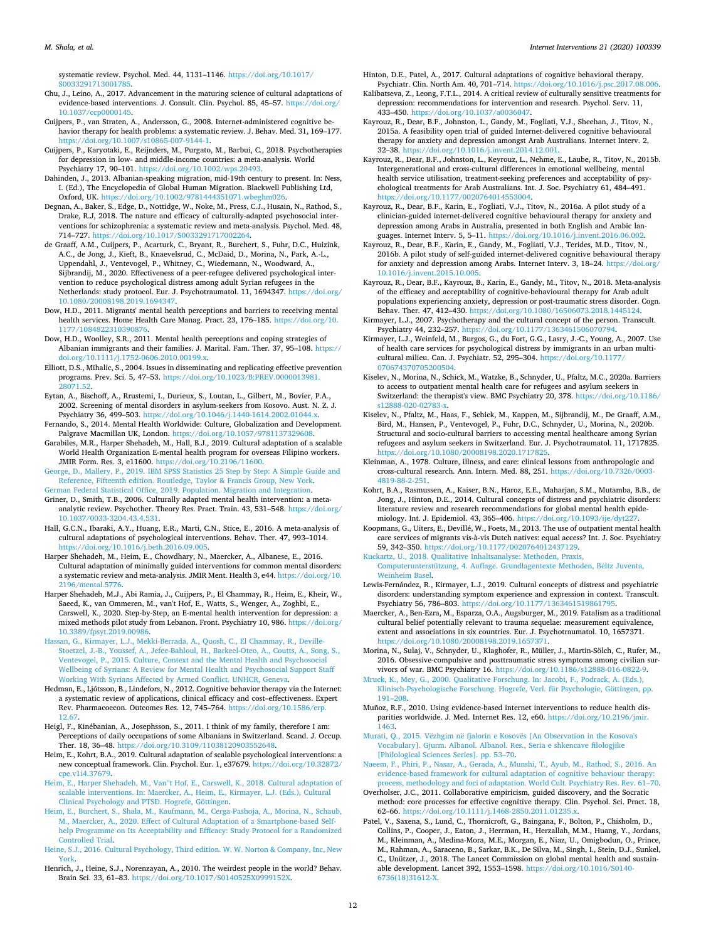systematic review. Psychol. Med. 44, 1131–1146. [https://doi.org/10.1017/](https://doi.org/10.1017/S0033291713001785)  s003329171300178

- <span id="page-11-8"></span>Chu, J., Leino, A., 2017. Advancement in the maturing science of cultural adaptations of evidence-based interventions. J. Consult. Clin. Psychol. 85, 45–57. [https://doi.org/](https://doi.org/10.1037/ccp0000145)  [10.1037/ccp0000145.](https://doi.org/10.1037/ccp0000145)
- <span id="page-11-20"></span>Cuijpers, P., van Straten, A., Andersson, G., 2008. Internet-administered cognitive behavior therapy for health problems: a systematic review. J. Behav. Med. 31, 169–177. [https://doi.org/10.1007/s10865-007-9144-1.](https://doi.org/10.1007/s10865-007-9144-1)
- <span id="page-11-7"></span>Cuijpers, P., Karyotaki, E., Reijnders, M., Purgato, M., Barbui, C., 2018. Psychotherapies for depression in low- and middle-income countries: a meta-analysis. World Psychiatry 17, 90-101. https://doi.org/10.1002/wp
- <span id="page-11-37"></span>Dahinden, J., 2013. Albanian-speaking migration, mid-19th century to present. In: Ness, I. (Ed.), The Encyclopedia of Global Human Migration. Blackwell Publishing Ltd, Oxford, UK. [https://doi.org/10.1002/9781444351071.wbeghm026.](https://doi.org/10.1002/9781444351071.wbeghm026)
- <span id="page-11-17"></span>Degnan, A., Baker, S., Edge, D., Nottidge, W., Noke, M., Press, C.J., Husain, N., Rathod, S., Drake, R.J, 2018. The nature and efficacy of culturally-adapted psychosocial interventions for schizophrenia: a systematic review and meta-analysis. Psychol. Med. 48, 714–727. [https://doi.org/10.1017/S0033291717002264.](https://doi.org/10.1017/S0033291717002264)
- <span id="page-11-10"></span>de Graaff, A.M., Cuijpers, P., Acarturk, C., Bryant, R., Burchert, S., Fuhr, D.C., Huizink, A.C., de Jong, J., Kieft, B., Knaevelsrud, C., McDaid, D., Morina, N., Park, A.-L., Uppendahl, J., Ventevogel, P., Whitney, C., Wiedemann, N., Woodward, A., Sijbrandij, M., 2020. Effectiveness of a peer-refugee delivered psychological intervention to reduce psychological distress among adult Syrian refugees in the Netherlands: study protocol. Eur. J. Psychotraumatol. 11, 1694347. [https://doi.org/](https://doi.org/10.1080/20008198.2019.1694347)  [10.1080/20008198.2019.1694347.](https://doi.org/10.1080/20008198.2019.1694347)
- <span id="page-11-4"></span>Dow, H.D., 2011. Migrants' mental health perceptions and barriers to receiving mental health services. Home Health Care Manag. Pract. 23, 176–185. [https://doi.org/10.](https://doi.org/10.1177/1084822310390876)  [1177/1084822310390876](https://doi.org/10.1177/1084822310390876).
- <span id="page-11-46"></span>Dow, H.D., Woolley, S.R., 2011. Mental health perceptions and coping strategies of Albanian immigrants and their families. J. Marital. Fam. Ther. 37, 95–108. [https://](https://doi.org/10.1111/j.1752-0606.2010.00199.x) [doi.org/10.1111/j.1752-0606.2010.00199.x.](https://doi.org/10.1111/j.1752-0606.2010.00199.x)
- <span id="page-11-19"></span>Elliott, D.S., Mihalic, S., 2004. Issues in disseminating and replicating effective prevention programs. Prev. Sci. 5, 47–53. [https://doi.org/10.1023/B:PREV.0000013981.](https://doi.org/10.1023/B:PREV.0000013981.28071.52) [28071.52](https://doi.org/10.1023/B:PREV.0000013981.28071.52).
- <span id="page-11-0"></span>Eytan, A., Bischoff, A., Rrustemi, I., Durieux, S., Loutan, L., Gilbert, M., Bovier, P.A., 2002. Screening of mental disorders in asylum-seekers from Kosovo. Aust. N. Z. J. Psychiatry 36, 499–503. [https://doi.org/10.1046/j.1440-1614.2002.01044.x.](https://doi.org/10.1046/j.1440-1614.2002.01044.x)
- <span id="page-11-2"></span>Fernando, S., 2014. Mental Health Worldwide: Culture, Globalization and Development. Palgrave Macmillan UK, London. <https://doi.org/10.1057/9781137329608>.
- <span id="page-11-21"></span>Garabiles, M.R., Harper Shehadeh, M., Hall, B.J., 2019. Cultural adaptation of a scalable World Health Organization E-mental health program for overseas Filipino workers. JMIR Form. Res. 3, e11600. <https://doi.org/10.2196/11600>.
- <span id="page-11-42"></span>[George, D., Mallery, P., 2019. IBM SPSS Statistics 25 Step by Step: A Simple Guide and](http://refhub.elsevier.com/S2214-7829(20)30105-6/rf0145) [Reference, Fifteenth edition. Routledge, Taylor & Francis Group, New York.](http://refhub.elsevier.com/S2214-7829(20)30105-6/rf0145) [German Federal Statistical Office, 2019. Population. Migration and Integration](http://refhub.elsevier.com/S2214-7829(20)30105-6/rf0150).
- <span id="page-11-38"></span><span id="page-11-14"></span>Griner, D., Smith, T.B., 2006. Culturally adapted mental health intervention: a metaanalytic review. Psychother. Theory Res. Pract. Train. 43, 531–548. [https://doi.org/](https://doi.org/10.1037/0033-3204.43.4.531)  [10.1037/0033-3204.43.4.531.](https://doi.org/10.1037/0033-3204.43.4.531)
- <span id="page-11-15"></span>Hall, G.C.N., Ibaraki, A.Y., Huang, E.R., Marti, C.N., Stice, E., 2016. A meta-analysis of cultural adaptations of psychological interventions. Behav. Ther. 47, 993–1014. <https://doi.org/10.1016/j.beth.2016.09.005>.
- <span id="page-11-16"></span>Harper Shehadeh, M., Heim, E., Chowdhary, N., Maercker, A., Albanese, E., 2016. Cultural adaptation of minimally guided interventions for common mental disorders: a systematic review and meta-analysis. JMIR Ment. Health 3, e44. [https://doi.org/10.](https://doi.org/10.2196/mental.5776)  [2196/mental.5776.](https://doi.org/10.2196/mental.5776)
- <span id="page-11-25"></span>Harper Shehadeh, M.J., Abi Ramia, J., Cuijpers, P., El Chammay, R., Heim, E., Kheir, W., Saeed, K., van Ommeren, M., van't Hof, E., Watts, S., Wenger, A., Zoghbi, E., Carswell, K., 2020. Step-by-Step, an E-mental health intervention for depression: a mixed methods pilot study from Lebanon. Front. Psychiatry 10, 986. [https://doi.org/](https://doi.org/10.3389/fpsyt.2019.00986)  [10.3389/fpsyt.2019.00986.](https://doi.org/10.3389/fpsyt.2019.00986)
- <span id="page-11-1"></span>[Hassan, G., Kirmayer, L.J., Mekki-Berrada, A., Quosh, C., El Chammay, R., Deville-](http://refhub.elsevier.com/S2214-7829(20)30105-6/rf0175)[Stoetzel, J.-B., Youssef, A., Jefee-Bahloul, H., Barkeel-Oteo, A., Coutts, A., Song, S.,](http://refhub.elsevier.com/S2214-7829(20)30105-6/rf0175)  [Ventevogel, P., 2015. Culture, Context and the Mental Health and Psychosocial](http://refhub.elsevier.com/S2214-7829(20)30105-6/rf0175) [Wellbeing of Syrians: A Review for Mental Health and Psychosocial Support Staff](http://refhub.elsevier.com/S2214-7829(20)30105-6/rf0175) [Working With Syrians Affected by Armed Conflict. UNHCR, Geneva.](http://refhub.elsevier.com/S2214-7829(20)30105-6/rf0175)
- <span id="page-11-22"></span>Hedman, E., Ljótsson, B., Lindefors, N., 2012. Cognitive behavior therapy via the Internet: a systematic review of applications, clinical efficacy and cost–effectiveness. Expert Rev. Pharmacoecon. Outcomes Res. 12, 745–764. [https://doi.org/10.1586/erp.](https://doi.org/10.1586/erp.12.67)  [12.67.](https://doi.org/10.1586/erp.12.67)
- <span id="page-11-40"></span>Heigl, F., Kinébanian, A., Josephsson, S., 2011. I think of my family, therefore I am: Perceptions of daily occupations of some Albanians in Switzerland. Scand. J. Occup. Ther. 18, 36–48. [https://doi.org/10.3109/11038120903552648.](https://doi.org/10.3109/11038120903552648)
- <span id="page-11-12"></span>Heim, E., Kohrt, B.A., 2019. Cultural adaptation of scalable psychological interventions: a new conceptual framework. Clin. Psychol. Eur. 1, e37679. [https://doi.org/10.32872/](https://doi.org/10.32872/cpe.v1i4.37679)  [cpe.v1i4.37679](https://doi.org/10.32872/cpe.v1i4.37679).
- <span id="page-11-11"></span>[Heim, E., Harper Shehadeh, M., Van''t Hof, E., Carswell, K., 2018. Cultural adaptation of](http://refhub.elsevier.com/S2214-7829(20)30105-6/rf0190)  [scalable interventions. In: Maercker, A., Heim, E., Kirmayer, L.J. \(Eds.\), Cultural](http://refhub.elsevier.com/S2214-7829(20)30105-6/rf0190) [Clinical Psychology and PTSD. Hogrefe, Göttingen](http://refhub.elsevier.com/S2214-7829(20)30105-6/rf0190).
- <span id="page-11-35"></span>[Heim, E., Burchert, S., Shala, M., Kaufmann, M., Cerga-Pashoja, A., Morina, N., Schaub,](http://refhub.elsevier.com/S2214-7829(20)30105-6/rf0195)  [M., Maercker, A., 2020. Effect of Cultural Adaptation of a Smartphone-based Self](http://refhub.elsevier.com/S2214-7829(20)30105-6/rf0195)[help Programme on Its Acceptability and Efficacy: Study Protocol for a Randomized](http://refhub.elsevier.com/S2214-7829(20)30105-6/rf0195)  [Controlled Trial.](http://refhub.elsevier.com/S2214-7829(20)30105-6/rf0195)
- <span id="page-11-34"></span>[Heine, S.J., 2016. Cultural Psychology, Third edition. W. W. Norton & Company, Inc, New](http://refhub.elsevier.com/S2214-7829(20)30105-6/rf0200)  [York.](http://refhub.elsevier.com/S2214-7829(20)30105-6/rf0200)
- <span id="page-11-32"></span>Henrich, J., Heine, S.J., Norenzayan, A., 2010. The weirdest people in the world? Behav. Brain Sci. 33, 61–83. [https://doi.org/10.1017/S0140525X0999152X.](https://doi.org/10.1017/S0140525X0999152X)

<span id="page-11-9"></span>Hinton, D.E., Patel, A., 2017. Cultural adaptations of cognitive behavioral therapy.

- <span id="page-11-18"></span>Psychiatr. Clin. North Am. 40, 701–714. [https://doi.org/10.1016/j.psc.2017.08.006.](https://doi.org/10.1016/j.psc.2017.08.006) Kalibatseva, Z., Leong, F.T.L., 2014. A critical review of culturally sensitive treatments for depression: recommendations for intervention and research. Psychol. Serv. 11, 433–450. <https://doi.org/10.1037/a0036047>.
- <span id="page-11-26"></span>Kayrouz, R., Dear, B.F., Johnston, L., Gandy, M., Fogliati, V.J., Sheehan, J., Titov, N., 2015a. A feasibility open trial of guided Internet-delivered cognitive behavioural therapy for anxiety and depression amongst Arab Australians. Internet Interv. 2, 32–38. [https://doi.org/10.1016/j.invent.2014.12.001.](https://doi.org/10.1016/j.invent.2014.12.001)
- <span id="page-11-5"></span>Kayrouz, R., Dear, B.F., Johnston, L., Keyrouz, L., Nehme, E., Laube, R., Titov, N., 2015b. Intergenerational and cross-cultural differences in emotional wellbeing, mental health service utilisation, treatment-seeking preferences and acceptability of psychological treatments for Arab Australians. Int. J. Soc. Psychiatry 61, 484–491. [https://doi.org/10.1177/0020764014553004.](https://doi.org/10.1177/0020764014553004)
- Kayrouz, R., Dear, B.F., Karin, E., Fogliati, V.J., Titov, N., 2016a. A pilot study of a clinician-guided internet-delivered cognitive behavioural therapy for anxiety and depression among Arabs in Australia, presented in both English and Arabic languages. Internet Interv. 5, 5–11.<https://doi.org/10.1016/j.invent.2016.06.002>.
- <span id="page-11-27"></span>Kayrouz, R., Dear, B.F., Karin, E., Gandy, M., Fogliati, V.J., Terides, M.D., Titov, N., 2016b. A pilot study of self-guided internet-delivered cognitive behavioural therapy for anxiety and depression among Arabs. Internet Interv. 3, 18–24. [https://doi.org/](https://doi.org/10.1016/j.invent.2015.10.005) [10.1016/j.invent.2015.10.005](https://doi.org/10.1016/j.invent.2015.10.005).
- <span id="page-11-23"></span>Kayrouz, R., Dear, B.F., Kayrouz, B., Karin, E., Gandy, M., Titov, N., 2018. Meta-analysis of the efficacy and acceptability of cognitive-behavioural therapy for Arab adult populations experiencing anxiety, depression or post-traumatic stress disorder. Cogn. Behav. Ther. 47, 412–430.<https://doi.org/10.1080/16506073.2018.1445124>.
- <span id="page-11-33"></span>Kirmayer, L.J., 2007. Psychotherapy and the cultural concept of the person. Transcult. Psychiatry 44, 232–257. <https://doi.org/10.1177/1363461506070794>.
- <span id="page-11-3"></span>Kirmayer, L.J., Weinfeld, M., Burgos, G., du Fort, G.G., Lasry, J.-C., Young, A., 2007. Use of health care services for psychological distress by immigrants in an urban multicultural milieu. Can. J. Psychiatr. 52, 295–304. [https://doi.org/10.1177/](https://doi.org/10.1177/070674370705200504)  [070674370705200504](https://doi.org/10.1177/070674370705200504).
- Kiselev, N., Morina, N., Schick, M., Watzke, B., Schnyder, U., Pfaltz, M.C., 2020a. Barriers to access to outpatient mental health care for refugees and asylum seekers in Switzerland: the therapist's view. BMC Psychiatry 20, 378. [https://doi.org/10.1186/](https://doi.org/10.1186/s12888-020-02783-x)  [s12888-020-02783-x](https://doi.org/10.1186/s12888-020-02783-x).
- <span id="page-11-6"></span>Kiselev, N., Pfaltz, M., Haas, F., Schick, M., Kappen, M., Sijbrandij, M., De Graaff, A.M., Bird, M., Hansen, P., Ventevogel, P., Fuhr, D.C., Schnyder, U., Morina, N., 2020b. Structural and socio-cultural barriers to accessing mental healthcare among Syrian refugees and asylum seekers in Switzerland. Eur. J. Psychotraumatol. 11, 1717825. <https://doi.org/10.1080/20008198.2020.1717825>.
- <span id="page-11-29"></span>Kleinman, A., 1978. Culture, illness, and care: clinical lessons from anthropologic and cross-cultural research. Ann. Intern. Med. 88, 251. [https://doi.org/10.7326/0003-](https://doi.org/10.7326/0003-4819-88-2-251)  [4819-88-2-251.](https://doi.org/10.7326/0003-4819-88-2-251)
- <span id="page-11-30"></span>Kohrt, B.A., Rasmussen, A., Kaiser, B.N., Haroz, E.E., Maharjan, S.M., Mutamba, B.B., de Jong, J., Hinton, D.E., 2014. Cultural concepts of distress and psychiatric disorders: literature review and research recommendations for global mental health epidemiology. Int. J. Epidemiol. 43, 365–406.<https://doi.org/10.1093/ije/dyt227>.
- <span id="page-11-39"></span>Koopmans, G., Uiters, E., Devillé, W., Foets, M., 2013. The use of outpatient mental health care services of migrants vis-à-vis Dutch natives: equal access? Int. J. Soc. Psychiatry 59, 342–350. [https://doi.org/10.1177/0020764012437129.](https://doi.org/10.1177/0020764012437129)

<span id="page-11-43"></span>[Kuckartz, U., 2018. Qualitative Inhaltsanalyse: Methoden, Praxis,](http://refhub.elsevier.com/S2214-7829(20)30105-6/rf0280)  [Computerunterstützung, 4. Auflage. Grundlagentexte Methoden, Beltz Juventa,](http://refhub.elsevier.com/S2214-7829(20)30105-6/rf0280)  [Weinheim Basel](http://refhub.elsevier.com/S2214-7829(20)30105-6/rf0280).

- <span id="page-11-31"></span>Lewis-Fernández, R., Kirmayer, L.J., 2019. Cultural concepts of distress and psychiatric disorders: understanding symptom experience and expression in context. Transcult. Psychiatry 56, 786–803. <https://doi.org/10.1177/1363461519861795>.
- <span id="page-11-44"></span>Maercker, A., Ben-Ezra, M., Esparza, O.A., Augsburger, M., 2019. Fatalism as a traditional cultural belief potentially relevant to trauma sequelae: measurement equivalence, extent and associations in six countries. Eur. J. Psychotraumatol. 10, 1657371. <https://doi.org/10.1080/20008198.2019.1657371>.
- <span id="page-11-36"></span>Morina, N., Sulaj, V., Schnyder, U., Klaghofer, R., Müller, J., Martin-Sölch, C., Rufer, M., 2016. Obsessive-compulsive and posttraumatic stress symptoms among civilian survivors of war. BMC Psychiatry 16.<https://doi.org/10.1186/s12888-016-0822-9>.
- <span id="page-11-41"></span>[Mruck, K., Mey, G., 2000. Qualitative Forschung. In: Jacobi, F., Podrack, A. \(Eds.\),](http://refhub.elsevier.com/S2214-7829(20)30105-6/rf0295) [Klinisch-Psychologische Forschung. Hogrefe, Verl. für Psychologie, Göttingen, pp.](http://refhub.elsevier.com/S2214-7829(20)30105-6/rf0295) [191–208](http://refhub.elsevier.com/S2214-7829(20)30105-6/rf0295).
- <span id="page-11-24"></span>Muñoz, R.F., 2010. Using evidence-based internet interventions to reduce health disparities worldwide. J. Med. Internet Res. 12, e60. https://doi.org/10.2196/jmir. [1463.](https://doi.org/10.2196/jmir.1463)
- <span id="page-11-47"></span>[Murati, Q., 2015. Vëzhgim në fjalorin e Kosovës \[An Observation in the Kosova's](http://refhub.elsevier.com/S2214-7829(20)30105-6/rf0305) [Vocabulary\]. Gjurm. Albanol. Albanol. Res., Seria e shkencave filologjike](http://refhub.elsevier.com/S2214-7829(20)30105-6/rf0305) [\[Philological Sciences Series\]. pp. 53–70](http://refhub.elsevier.com/S2214-7829(20)30105-6/rf0305).
- <span id="page-11-28"></span>[Naeem, F., Phiri, P., Nasar, A., Gerada, A., Munshi, T., Ayub, M., Rathod, S., 2016. An](http://refhub.elsevier.com/S2214-7829(20)30105-6/rf0310)  [evidence-based framework for cultural adaptation of cognitive behaviour therapy:](http://refhub.elsevier.com/S2214-7829(20)30105-6/rf0310)  [process, methodology and foci of adaptation. World Cult. Psychiatry Res. Rev. 61–70.](http://refhub.elsevier.com/S2214-7829(20)30105-6/rf0310)
- <span id="page-11-45"></span>Overholser, J.C., 2011. Collaborative empiricism, guided discovery, and the Socratic method: core processes for effective cognitive therapy. Clin. Psychol. Sci. Pract. 18, 62–66. <https://doi.org/10.1111/j.1468-2850.2011.01235.x>.
- <span id="page-11-13"></span>Patel, V., Saxena, S., Lund, C., Thornicroft, G., Baingana, F., Bolton, P., Chisholm, D., Collins, P., Cooper, J., Eaton, J., Herrman, H., Herzallah, M.M., Huang, Y., Jordans, M., Kleinman, A., Medina-Mora, M.E., Morgan, E., Niaz, U., Omigbodun, O., Prince, M., Rahman, A., Saraceno, B., Sarkar, B.K., De Silva, M., Singh, I., Stein, D.J., Sunkel, C., Unützer, J., 2018. The Lancet Commission on global mental health and sustainable development. Lancet 392, 1553–1598. [https://doi.org/10.1016/S0140-](https://doi.org/10.1016/S0140-6736(18)31612-X)  [6736\(18\)31612-X.](https://doi.org/10.1016/S0140-6736(18)31612-X)